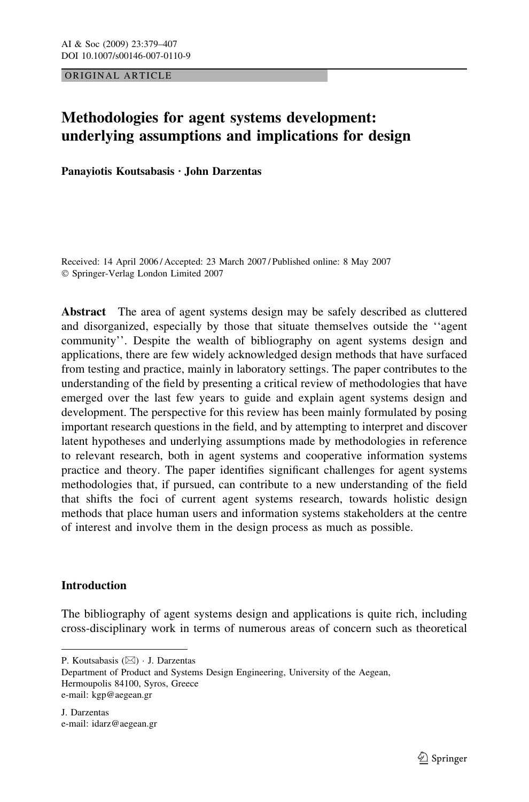ORIGINAL ARTICLE

# Methodologies for agent systems development: underlying assumptions and implications for design

Panayiotis Koutsabasis · John Darzentas

Received: 14 April 2006 / Accepted: 23 March 2007 / Published online: 8 May 2007 Springer-Verlag London Limited 2007

Abstract The area of agent systems design may be safely described as cluttered and disorganized, especially by those that situate themselves outside the ''agent community''. Despite the wealth of bibliography on agent systems design and applications, there are few widely acknowledged design methods that have surfaced from testing and practice, mainly in laboratory settings. The paper contributes to the understanding of the field by presenting a critical review of methodologies that have emerged over the last few years to guide and explain agent systems design and development. The perspective for this review has been mainly formulated by posing important research questions in the field, and by attempting to interpret and discover latent hypotheses and underlying assumptions made by methodologies in reference to relevant research, both in agent systems and cooperative information systems practice and theory. The paper identifies significant challenges for agent systems methodologies that, if pursued, can contribute to a new understanding of the field that shifts the foci of current agent systems research, towards holistic design methods that place human users and information systems stakeholders at the centre of interest and involve them in the design process as much as possible.

# Introduction

The bibliography of agent systems design and applications is quite rich, including cross-disciplinary work in terms of numerous areas of concern such as theoretical

P. Koutsabasis  $(\boxtimes)$  · J. Darzentas

Department of Product and Systems Design Engineering, University of the Aegean, Hermoupolis 84100, Syros, Greece e-mail: kgp@aegean.gr

J. Darzentas e-mail: idarz@aegean.gr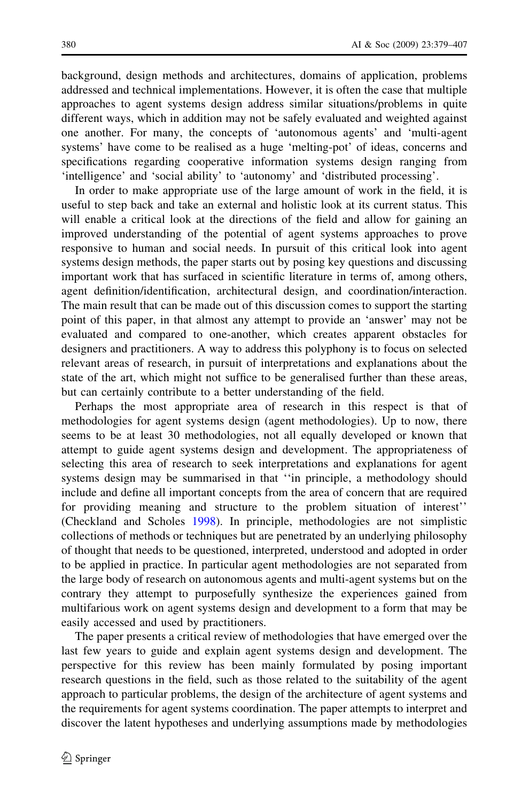background, design methods and architectures, domains of application, problems addressed and technical implementations. However, it is often the case that multiple approaches to agent systems design address similar situations/problems in quite different ways, which in addition may not be safely evaluated and weighted against one another. For many, the concepts of 'autonomous agents' and 'multi-agent systems' have come to be realised as a huge 'melting-pot' of ideas, concerns and specifications regarding cooperative information systems design ranging from 'intelligence' and 'social ability' to 'autonomy' and 'distributed processing'.

In order to make appropriate use of the large amount of work in the field, it is useful to step back and take an external and holistic look at its current status. This will enable a critical look at the directions of the field and allow for gaining an improved understanding of the potential of agent systems approaches to prove responsive to human and social needs. In pursuit of this critical look into agent systems design methods, the paper starts out by posing key questions and discussing important work that has surfaced in scientific literature in terms of, among others, agent definition/identification, architectural design, and coordination/interaction. The main result that can be made out of this discussion comes to support the starting point of this paper, in that almost any attempt to provide an 'answer' may not be evaluated and compared to one-another, which creates apparent obstacles for designers and practitioners. A way to address this polyphony is to focus on selected relevant areas of research, in pursuit of interpretations and explanations about the state of the art, which might not suffice to be generalised further than these areas, but can certainly contribute to a better understanding of the field.

Perhaps the most appropriate area of research in this respect is that of methodologies for agent systems design (agent methodologies). Up to now, there seems to be at least 30 methodologies, not all equally developed or known that attempt to guide agent systems design and development. The appropriateness of selecting this area of research to seek interpretations and explanations for agent systems design may be summarised in that ''in principle, a methodology should include and define all important concepts from the area of concern that are required for providing meaning and structure to the problem situation of interest'' (Checkland and Scholes [1998](#page-26-0)). In principle, methodologies are not simplistic collections of methods or techniques but are penetrated by an underlying philosophy of thought that needs to be questioned, interpreted, understood and adopted in order to be applied in practice. In particular agent methodologies are not separated from the large body of research on autonomous agents and multi-agent systems but on the contrary they attempt to purposefully synthesize the experiences gained from multifarious work on agent systems design and development to a form that may be easily accessed and used by practitioners.

The paper presents a critical review of methodologies that have emerged over the last few years to guide and explain agent systems design and development. The perspective for this review has been mainly formulated by posing important research questions in the field, such as those related to the suitability of the agent approach to particular problems, the design of the architecture of agent systems and the requirements for agent systems coordination. The paper attempts to interpret and discover the latent hypotheses and underlying assumptions made by methodologies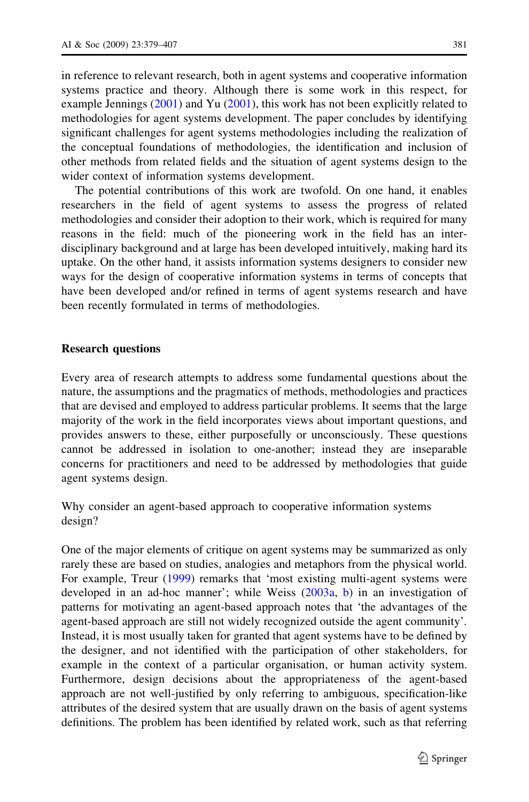in reference to relevant research, both in agent systems and cooperative information systems practice and theory. Although there is some work in this respect, for example Jennings [\(2001](#page-27-0)) and Yu [\(2001](#page-28-0)), this work has not been explicitly related to methodologies for agent systems development. The paper concludes by identifying significant challenges for agent systems methodologies including the realization of the conceptual foundations of methodologies, the identification and inclusion of other methods from related fields and the situation of agent systems design to the wider context of information systems development.

The potential contributions of this work are twofold. On one hand, it enables researchers in the field of agent systems to assess the progress of related methodologies and consider their adoption to their work, which is required for many reasons in the field: much of the pioneering work in the field has an interdisciplinary background and at large has been developed intuitively, making hard its uptake. On the other hand, it assists information systems designers to consider new ways for the design of cooperative information systems in terms of concepts that have been developed and/or refined in terms of agent systems research and have been recently formulated in terms of methodologies.

#### Research questions

Every area of research attempts to address some fundamental questions about the nature, the assumptions and the pragmatics of methods, methodologies and practices that are devised and employed to address particular problems. It seems that the large majority of the work in the field incorporates views about important questions, and provides answers to these, either purposefully or unconsciously. These questions cannot be addressed in isolation to one-another; instead they are inseparable concerns for practitioners and need to be addressed by methodologies that guide agent systems design.

Why consider an agent-based approach to cooperative information systems design?

One of the major elements of critique on agent systems may be summarized as only rarely these are based on studies, analogies and metaphors from the physical world. For example, Treur ([1999\)](#page-27-0) remarks that 'most existing multi-agent systems were developed in an ad-hoc manner'; while Weiss ([2003a](#page-28-0), [b](#page-28-0)) in an investigation of patterns for motivating an agent-based approach notes that 'the advantages of the agent-based approach are still not widely recognized outside the agent community'. Instead, it is most usually taken for granted that agent systems have to be defined by the designer, and not identified with the participation of other stakeholders, for example in the context of a particular organisation, or human activity system. Furthermore, design decisions about the appropriateness of the agent-based approach are not well-justified by only referring to ambiguous, specification-like attributes of the desired system that are usually drawn on the basis of agent systems definitions. The problem has been identified by related work, such as that referring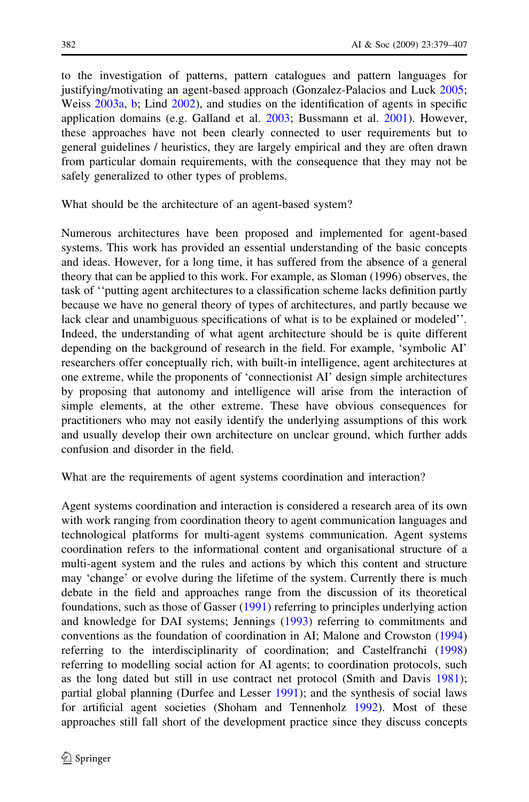to the investigation of patterns, pattern catalogues and pattern languages for justifying/motivating an agent-based approach (Gonzalez-Palacios and Luck [2005;](#page-26-0) Weiss [2003a](#page-28-0), [b](#page-28-0); Lind [2002\)](#page-27-0), and studies on the identification of agents in specific application domains (e.g. Galland et al.  $2003$ ; Bussmann et al.  $2001$ ). However, these approaches have not been clearly connected to user requirements but to general guidelines / heuristics, they are largely empirical and they are often drawn from particular domain requirements, with the consequence that they may not be safely generalized to other types of problems.

What should be the architecture of an agent-based system?

Numerous architectures have been proposed and implemented for agent-based systems. This work has provided an essential understanding of the basic concepts and ideas. However, for a long time, it has suffered from the absence of a general theory that can be applied to this work. For example, as Sloman (1996) observes, the task of ''putting agent architectures to a classification scheme lacks definition partly because we have no general theory of types of architectures, and partly because we lack clear and unambiguous specifications of what is to be explained or modeled''. Indeed, the understanding of what agent architecture should be is quite different depending on the background of research in the field. For example, 'symbolic AI' researchers offer conceptually rich, with built-in intelligence, agent architectures at one extreme, while the proponents of 'connectionist AI' design simple architectures by proposing that autonomy and intelligence will arise from the interaction of simple elements, at the other extreme. These have obvious consequences for practitioners who may not easily identify the underlying assumptions of this work and usually develop their own architecture on unclear ground, which further adds confusion and disorder in the field.

What are the requirements of agent systems coordination and interaction?

Agent systems coordination and interaction is considered a research area of its own with work ranging from coordination theory to agent communication languages and technological platforms for multi-agent systems communication. Agent systems coordination refers to the informational content and organisational structure of a multi-agent system and the rules and actions by which this content and structure may 'change' or evolve during the lifetime of the system. Currently there is much debate in the field and approaches range from the discussion of its theoretical foundations, such as those of Gasser [\(1991](#page-26-0)) referring to principles underlying action and knowledge for DAI systems; Jennings [\(1993](#page-26-0)) referring to commitments and conventions as the foundation of coordination in AI; Malone and Crowston [\(1994](#page-27-0)) referring to the interdisciplinarity of coordination; and Castelfranchi ([1998](#page-26-0)) referring to modelling social action for AI agents; to coordination protocols, such as the long dated but still in use contract net protocol (Smith and Davis [1981](#page-27-0)); partial global planning (Durfee and Lesser [1991\)](#page-26-0); and the synthesis of social laws for artificial agent societies (Shoham and Tennenholz [1992](#page-27-0)). Most of these approaches still fall short of the development practice since they discuss concepts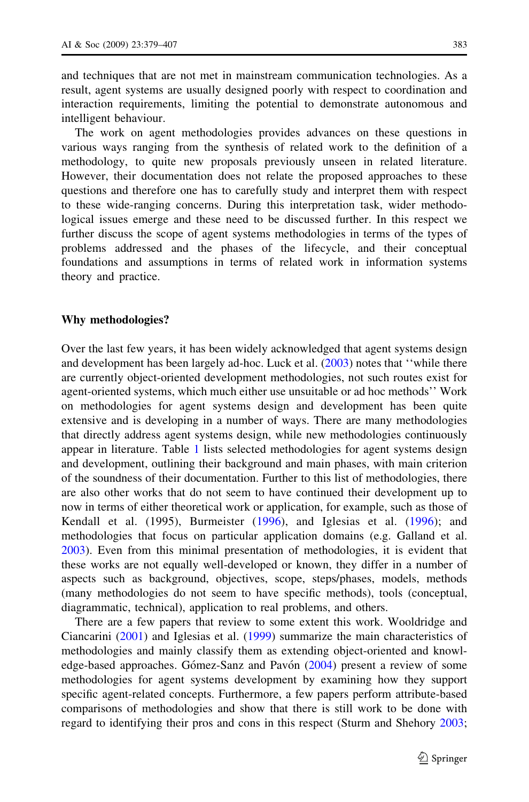and techniques that are not met in mainstream communication technologies. As a result, agent systems are usually designed poorly with respect to coordination and interaction requirements, limiting the potential to demonstrate autonomous and intelligent behaviour.

The work on agent methodologies provides advances on these questions in various ways ranging from the synthesis of related work to the definition of a methodology, to quite new proposals previously unseen in related literature. However, their documentation does not relate the proposed approaches to these questions and therefore one has to carefully study and interpret them with respect to these wide-ranging concerns. During this interpretation task, wider methodological issues emerge and these need to be discussed further. In this respect we further discuss the scope of agent systems methodologies in terms of the types of problems addressed and the phases of the lifecycle, and their conceptual foundations and assumptions in terms of related work in information systems theory and practice.

#### Why methodologies?

Over the last few years, it has been widely acknowledged that agent systems design and development has been largely ad-hoc. Luck et al. [\(2003](#page-27-0)) notes that ''while there are currently object-oriented development methodologies, not such routes exist for agent-oriented systems, which much either use unsuitable or ad hoc methods'' Work on methodologies for agent systems design and development has been quite extensive and is developing in a number of ways. There are many methodologies that directly address agent systems design, while new methodologies continuously appear in literature. Table [1](#page-5-0) lists selected methodologies for agent systems design and development, outlining their background and main phases, with main criterion of the soundness of their documentation. Further to this list of methodologies, there are also other works that do not seem to have continued their development up to now in terms of either theoretical work or application, for example, such as those of Kendall et al. (1995), Burmeister [\(1996\)](#page-25-0), and Iglesias et al. [\(1996\)](#page-26-0); and methodologies that focus on particular application domains (e.g. Galland et al. [2003\)](#page-26-0). Even from this minimal presentation of methodologies, it is evident that these works are not equally well-developed or known, they differ in a number of aspects such as background, objectives, scope, steps/phases, models, methods (many methodologies do not seem to have specific methods), tools (conceptual, diagrammatic, technical), application to real problems, and others.

There are a few papers that review to some extent this work. Wooldridge and Ciancarini ([2001\)](#page-28-0) and Iglesias et al. ([1999\)](#page-26-0) summarize the main characteristics of methodologies and mainly classify them as extending object-oriented and knowl-edge-based approaches. Gómez-Sanz and Pavón [\(2004](#page-26-0)) present a review of some methodologies for agent systems development by examining how they support specific agent-related concepts. Furthermore, a few papers perform attribute-based comparisons of methodologies and show that there is still work to be done with regard to identifying their pros and cons in this respect (Sturm and Shehory [2003;](#page-27-0)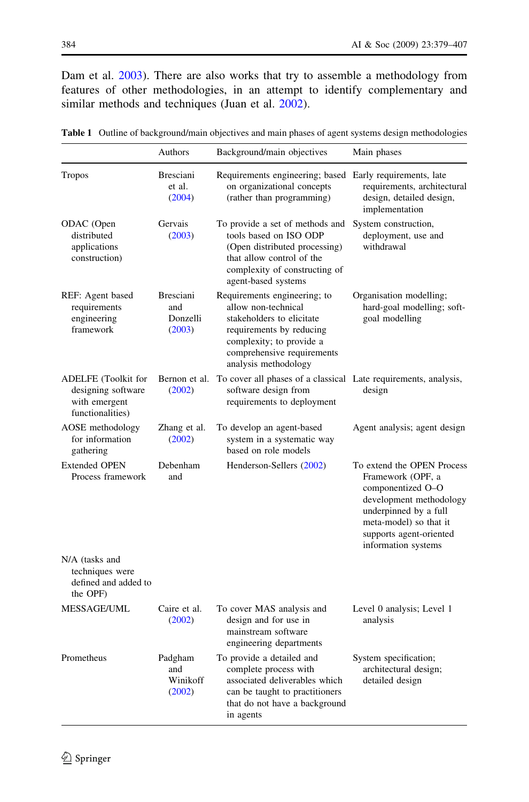<span id="page-5-0"></span>Dam et al. [2003](#page-26-0)). There are also works that try to assemble a methodology from features of other methodologies, in an attempt to identify complementary and similar methods and techniques (Juan et al. [2002\)](#page-27-0).

|                                                                                       | Authors                                       | Background/main objectives                                                                                                                                                                     | Main phases                                                                                                                                                                                          |
|---------------------------------------------------------------------------------------|-----------------------------------------------|------------------------------------------------------------------------------------------------------------------------------------------------------------------------------------------------|------------------------------------------------------------------------------------------------------------------------------------------------------------------------------------------------------|
| <b>Tropos</b>                                                                         | <b>Bresciani</b><br>et al.<br>(2004)          | Requirements engineering; based<br>on organizational concepts<br>(rather than programming)                                                                                                     | Early requirements, late<br>requirements, architectural<br>design, detailed design,<br>implementation                                                                                                |
| ODAC (Open<br>distributed<br>applications<br>construction)                            | Gervais<br>(2003)                             | To provide a set of methods and<br>tools based on ISO ODP<br>(Open distributed processing)<br>that allow control of the<br>complexity of constructing of<br>agent-based systems                | System construction,<br>deployment, use and<br>withdrawal                                                                                                                                            |
| REF: Agent based<br>requirements<br>engineering<br>framework                          | <b>Bresciani</b><br>and<br>Donzelli<br>(2003) | Requirements engineering; to<br>allow non-technical<br>stakeholders to elicitate<br>requirements by reducing<br>complexity; to provide a<br>comprehensive requirements<br>analysis methodology | Organisation modelling;<br>hard-goal modelling; soft-<br>goal modelling                                                                                                                              |
| <b>ADELFE</b> (Toolkit for<br>designing software<br>with emergent<br>functionalities) | Bernon et al.<br>(2002)                       | To cover all phases of a classical Late requirements, analysis,<br>software design from<br>requirements to deployment                                                                          | design                                                                                                                                                                                               |
| AOSE methodology<br>for information<br>gathering                                      | Zhang et al.<br>(2002)                        | To develop an agent-based<br>system in a systematic way<br>based on role models                                                                                                                | Agent analysis; agent design                                                                                                                                                                         |
| <b>Extended OPEN</b><br>Process framework                                             | Debenham<br>and                               | Henderson-Sellers (2002)                                                                                                                                                                       | To extend the OPEN Process<br>Framework (OPF, a<br>componentized O-O<br>development methodology<br>underpinned by a full<br>meta-model) so that it<br>supports agent-oriented<br>information systems |
| N/A (tasks and<br>techniques were<br>defined and added to<br>the OPF)                 |                                               |                                                                                                                                                                                                |                                                                                                                                                                                                      |
| MESSAGE/UML                                                                           | Caire et al.<br>(2002)                        | To cover MAS analysis and<br>design and for use in<br>mainstream software<br>engineering departments                                                                                           | Level 0 analysis; Level 1<br>analysis                                                                                                                                                                |
| Prometheus                                                                            | Padgham<br>and<br>Winikoff<br>(2002)          | To provide a detailed and<br>complete process with<br>associated deliverables which<br>can be taught to practitioners<br>that do not have a background<br>in agents                            | System specification;<br>architectural design;<br>detailed design                                                                                                                                    |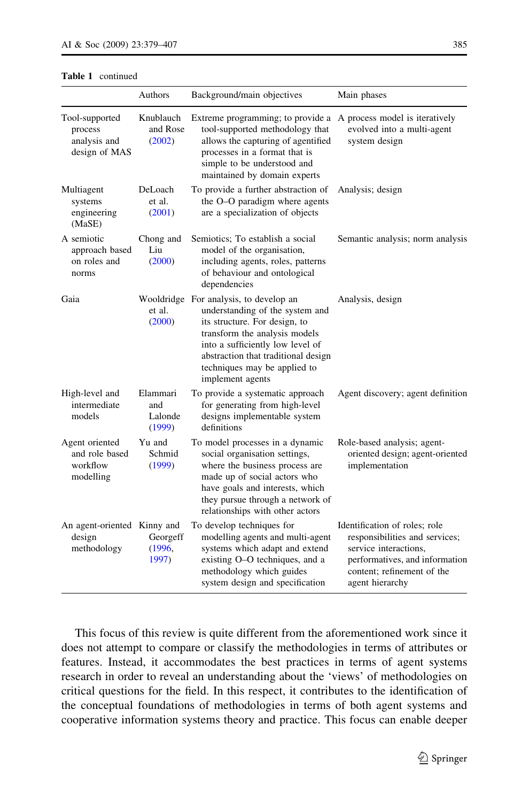#### Table 1 continued

|                                                            | Authors                                                                                                                                                                                                                                                                    | Background/main objectives                                                                                                                                                                                                                                                 | Main phases                                                                                                                                                                 |
|------------------------------------------------------------|----------------------------------------------------------------------------------------------------------------------------------------------------------------------------------------------------------------------------------------------------------------------------|----------------------------------------------------------------------------------------------------------------------------------------------------------------------------------------------------------------------------------------------------------------------------|-----------------------------------------------------------------------------------------------------------------------------------------------------------------------------|
| Tool-supported<br>process<br>analysis and<br>design of MAS | Knublauch<br>and Rose<br>(2002)                                                                                                                                                                                                                                            | Extreme programming; to provide a<br>tool-supported methodology that<br>allows the capturing of agentified<br>processes in a format that is<br>simple to be understood and<br>maintained by domain experts                                                                 | A process model is iteratively<br>evolved into a multi-agent<br>system design                                                                                               |
| Multiagent<br>systems<br>engineering<br>(MaSE)             | DeLoach<br>et al.<br>(2001)                                                                                                                                                                                                                                                | To provide a further abstraction of<br>the O-O paradigm where agents<br>are a specialization of objects                                                                                                                                                                    | Analysis; design                                                                                                                                                            |
| A semiotic<br>approach based<br>on roles and<br>norms      | Chong and<br>Liu<br>(2000)                                                                                                                                                                                                                                                 | Semiotics: To establish a social<br>model of the organisation,<br>including agents, roles, patterns<br>of behaviour and ontological<br>dependencies                                                                                                                        | Semantic analysis; norm analysis                                                                                                                                            |
| Gaia                                                       | et al.<br>(2000)                                                                                                                                                                                                                                                           | Wooldridge For analysis, to develop an<br>understanding of the system and<br>its structure. For design, to<br>transform the analysis models<br>into a sufficiently low level of<br>abstraction that traditional design<br>techniques may be applied to<br>implement agents | Analysis, design                                                                                                                                                            |
| High-level and<br>intermediate<br>models                   | Elammari<br>and<br>Lalonde<br>(1999)                                                                                                                                                                                                                                       | To provide a systematic approach<br>for generating from high-level<br>designs implementable system<br>definitions                                                                                                                                                          | Agent discovery; agent definition                                                                                                                                           |
| Agent oriented<br>and role based<br>workflow<br>modelling  | Yu and<br>To model processes in a dynamic<br>social organisation settings,<br>Schmid<br>where the business process are<br>(1999)<br>made up of social actors who<br>have goals and interests, which<br>they pursue through a network of<br>relationships with other actors |                                                                                                                                                                                                                                                                            | Role-based analysis; agent-<br>oriented design; agent-oriented<br>implementation                                                                                            |
| An agent-oriented Kinny and<br>design<br>methodology       | Georgeff<br>(1996,<br>1997)                                                                                                                                                                                                                                                | To develop techniques for<br>modelling agents and multi-agent<br>systems which adapt and extend<br>existing O-O techniques, and a<br>methodology which guides<br>system design and specification                                                                           | Identification of roles; role<br>responsibilities and services;<br>service interactions,<br>performatives, and information<br>content; refinement of the<br>agent hierarchy |

This focus of this review is quite different from the aforementioned work since it does not attempt to compare or classify the methodologies in terms of attributes or features. Instead, it accommodates the best practices in terms of agent systems research in order to reveal an understanding about the 'views' of methodologies on critical questions for the field. In this respect, it contributes to the identification of the conceptual foundations of methodologies in terms of both agent systems and cooperative information systems theory and practice. This focus can enable deeper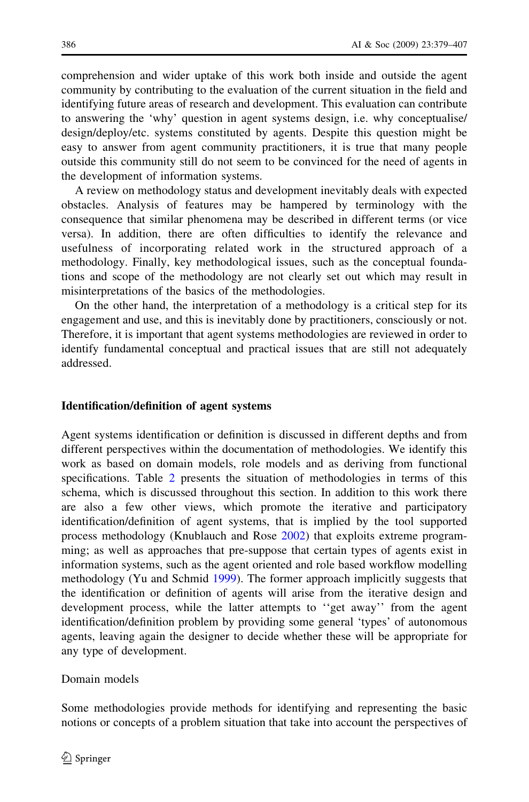comprehension and wider uptake of this work both inside and outside the agent community by contributing to the evaluation of the current situation in the field and identifying future areas of research and development. This evaluation can contribute to answering the 'why' question in agent systems design, i.e. why conceptualise/ design/deploy/etc. systems constituted by agents. Despite this question might be easy to answer from agent community practitioners, it is true that many people outside this community still do not seem to be convinced for the need of agents in the development of information systems.

A review on methodology status and development inevitably deals with expected obstacles. Analysis of features may be hampered by terminology with the consequence that similar phenomena may be described in different terms (or vice versa). In addition, there are often difficulties to identify the relevance and usefulness of incorporating related work in the structured approach of a methodology. Finally, key methodological issues, such as the conceptual foundations and scope of the methodology are not clearly set out which may result in misinterpretations of the basics of the methodologies.

On the other hand, the interpretation of a methodology is a critical step for its engagement and use, and this is inevitably done by practitioners, consciously or not. Therefore, it is important that agent systems methodologies are reviewed in order to identify fundamental conceptual and practical issues that are still not adequately addressed.

# Identification/definition of agent systems

Agent systems identification or definition is discussed in different depths and from different perspectives within the documentation of methodologies. We identify this work as based on domain models, role models and as deriving from functional specifications. Table [2](#page-8-0) presents the situation of methodologies in terms of this schema, which is discussed throughout this section. In addition to this work there are also a few other views, which promote the iterative and participatory identification/definition of agent systems, that is implied by the tool supported process methodology (Knublauch and Rose [2002\)](#page-27-0) that exploits extreme programming; as well as approaches that pre-suppose that certain types of agents exist in information systems, such as the agent oriented and role based workflow modelling methodology (Yu and Schmid [1999\)](#page-28-0). The former approach implicitly suggests that the identification or definition of agents will arise from the iterative design and development process, while the latter attempts to ''get away'' from the agent identification/definition problem by providing some general 'types' of autonomous agents, leaving again the designer to decide whether these will be appropriate for any type of development.

#### Domain models

Some methodologies provide methods for identifying and representing the basic notions or concepts of a problem situation that take into account the perspectives of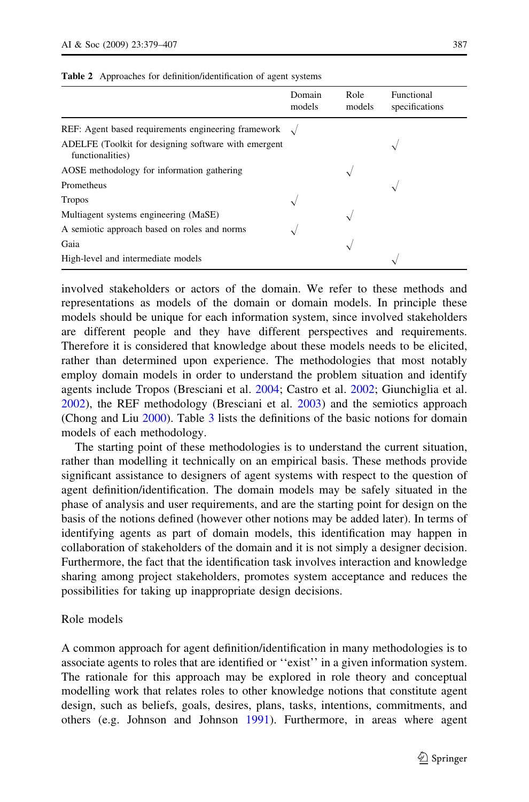|                                                                          | Domain<br>models | Role<br>models | Functional<br>specifications |
|--------------------------------------------------------------------------|------------------|----------------|------------------------------|
| REF: Agent based requirements engineering framework                      |                  |                |                              |
| ADELFE (Toolkit for designing software with emergent<br>functionalities) |                  |                |                              |
| AOSE methodology for information gathering                               |                  |                |                              |
| Prometheus                                                               |                  |                |                              |
| <b>Tropos</b>                                                            |                  |                |                              |
| Multiagent systems engineering (MaSE)                                    |                  |                |                              |
| A semiotic approach based on roles and norms                             |                  |                |                              |
| Gaia                                                                     |                  |                |                              |
| High-level and intermediate models                                       |                  |                |                              |

<span id="page-8-0"></span>Table 2 Approaches for definition/identification of agent systems

involved stakeholders or actors of the domain. We refer to these methods and representations as models of the domain or domain models. In principle these models should be unique for each information system, since involved stakeholders are different people and they have different perspectives and requirements. Therefore it is considered that knowledge about these models needs to be elicited, rather than determined upon experience. The methodologies that most notably employ domain models in order to understand the problem situation and identify agents include Tropos (Bresciani et al. [2004](#page-25-0); Castro et al. [2002](#page-26-0); Giunchiglia et al. [2002\)](#page-26-0), the REF methodology (Bresciani et al. [2003](#page-25-0)) and the semiotics approach (Chong and Liu [2000](#page-26-0)). Table [3](#page-9-0) lists the definitions of the basic notions for domain models of each methodology.

The starting point of these methodologies is to understand the current situation, rather than modelling it technically on an empirical basis. These methods provide significant assistance to designers of agent systems with respect to the question of agent definition/identification. The domain models may be safely situated in the phase of analysis and user requirements, and are the starting point for design on the basis of the notions defined (however other notions may be added later). In terms of identifying agents as part of domain models, this identification may happen in collaboration of stakeholders of the domain and it is not simply a designer decision. Furthermore, the fact that the identification task involves interaction and knowledge sharing among project stakeholders, promotes system acceptance and reduces the possibilities for taking up inappropriate design decisions.

#### Role models

A common approach for agent definition/identification in many methodologies is to associate agents to roles that are identified or ''exist'' in a given information system. The rationale for this approach may be explored in role theory and conceptual modelling work that relates roles to other knowledge notions that constitute agent design, such as beliefs, goals, desires, plans, tasks, intentions, commitments, and others (e.g. Johnson and Johnson [1991](#page-27-0)). Furthermore, in areas where agent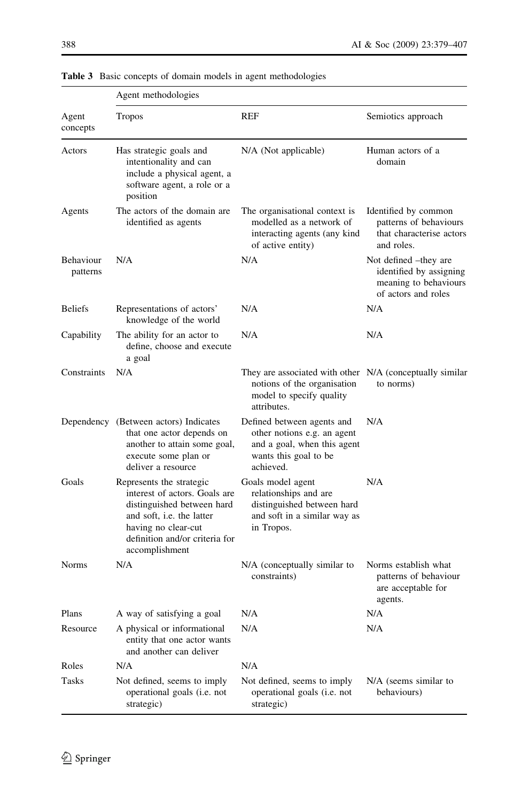|                       | Agent methodologies                                                                                                                                                                                    |                                                                                                                                    |                                                                                                  |
|-----------------------|--------------------------------------------------------------------------------------------------------------------------------------------------------------------------------------------------------|------------------------------------------------------------------------------------------------------------------------------------|--------------------------------------------------------------------------------------------------|
| Agent<br>concepts     | <b>Tropos</b>                                                                                                                                                                                          | REF                                                                                                                                | Semiotics approach                                                                               |
| Actors                | Has strategic goals and<br>intentionality and can<br>include a physical agent, a<br>software agent, a role or a<br>position                                                                            | N/A (Not applicable)                                                                                                               | Human actors of a<br>domain                                                                      |
| Agents                | The actors of the domain are<br>identified as agents                                                                                                                                                   | The organisational context is<br>modelled as a network of<br>interacting agents (any kind<br>of active entity)                     | Identified by common<br>patterns of behaviours<br>that characterise actors<br>and roles.         |
| Behaviour<br>patterns | N/A                                                                                                                                                                                                    | N/A                                                                                                                                | Not defined -they are<br>identified by assigning<br>meaning to behaviours<br>of actors and roles |
| <b>Beliefs</b>        | Representations of actors'<br>knowledge of the world                                                                                                                                                   | N/A                                                                                                                                | N/A                                                                                              |
| Capability            | The ability for an actor to<br>define, choose and execute<br>a goal                                                                                                                                    | N/A                                                                                                                                | N/A                                                                                              |
| Constraints           | N/A                                                                                                                                                                                                    | They are associated with other N/A (conceptually similar<br>notions of the organisation<br>model to specify quality<br>attributes. | to norms)                                                                                        |
|                       | Dependency (Between actors) Indicates<br>that one actor depends on<br>another to attain some goal,<br>execute some plan or<br>deliver a resource                                                       | Defined between agents and<br>other notions e.g. an agent<br>and a goal, when this agent<br>wants this goal to be<br>achieved.     | N/A                                                                                              |
| Goals                 | Represents the strategic<br>interest of actors. Goals are<br>distinguished between hard<br>and soft, <i>i.e.</i> the latter<br>having no clear-cut<br>definition and/or criteria for<br>accomplishment | Goals model agent<br>relationships and are<br>distinguished between hard<br>and soft in a similar way as<br>in Tropos.             | N/A                                                                                              |
| Norms                 | N/A                                                                                                                                                                                                    | N/A (conceptually similar to<br>constraints)                                                                                       | Norms establish what<br>patterns of behaviour<br>are acceptable for<br>agents.                   |
| Plans                 | A way of satisfying a goal                                                                                                                                                                             | N/A                                                                                                                                | N/A                                                                                              |
| Resource              | A physical or informational<br>entity that one actor wants<br>and another can deliver                                                                                                                  | N/A                                                                                                                                | N/A                                                                                              |
| Roles                 | N/A                                                                                                                                                                                                    | N/A                                                                                                                                |                                                                                                  |
| Tasks                 | Not defined, seems to imply<br>operational goals (i.e. not<br>strategic)                                                                                                                               | Not defined, seems to imply<br>operational goals (i.e. not<br>strategic)                                                           | N/A (seems similar to<br>behaviours)                                                             |

<span id="page-9-0"></span>Table 3 Basic concepts of domain models in agent methodologies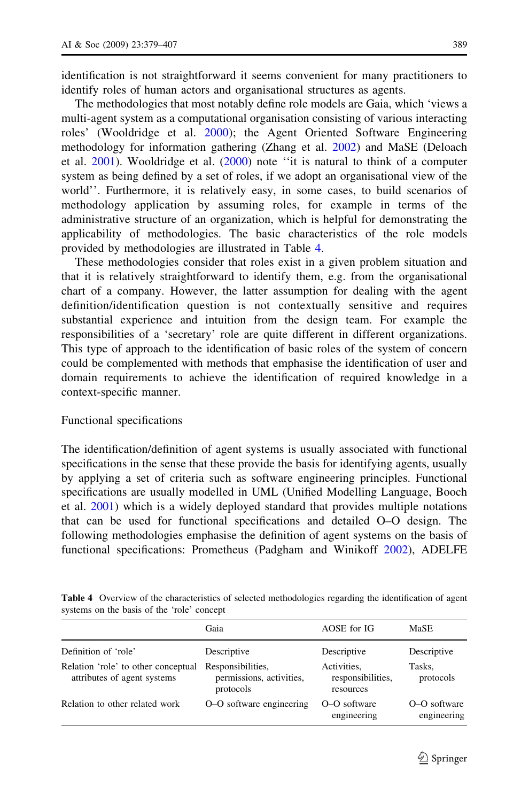identification is not straightforward it seems convenient for many practitioners to identify roles of human actors and organisational structures as agents.

The methodologies that most notably define role models are Gaia, which 'views a multi-agent system as a computational organisation consisting of various interacting roles' (Wooldridge et al. [2000](#page-28-0)); the Agent Oriented Software Engineering methodology for information gathering (Zhang et al. [2002](#page-28-0)) and MaSE (Deloach et al. [2001](#page-26-0)). Wooldridge et al. [\(2000](#page-28-0)) note ''it is natural to think of a computer system as being defined by a set of roles, if we adopt an organisational view of the world''. Furthermore, it is relatively easy, in some cases, to build scenarios of methodology application by assuming roles, for example in terms of the administrative structure of an organization, which is helpful for demonstrating the applicability of methodologies. The basic characteristics of the role models provided by methodologies are illustrated in Table 4.

These methodologies consider that roles exist in a given problem situation and that it is relatively straightforward to identify them, e.g. from the organisational chart of a company. However, the latter assumption for dealing with the agent definition/identification question is not contextually sensitive and requires substantial experience and intuition from the design team. For example the responsibilities of a 'secretary' role are quite different in different organizations. This type of approach to the identification of basic roles of the system of concern could be complemented with methods that emphasise the identification of user and domain requirements to achieve the identification of required knowledge in a context-specific manner.

### Functional specifications

The identification/definition of agent systems is usually associated with functional specifications in the sense that these provide the basis for identifying agents, usually by applying a set of criteria such as software engineering principles. Functional specifications are usually modelled in UML (Unified Modelling Language, Booch et al. [2001](#page-25-0)) which is a widely deployed standard that provides multiple notations that can be used for functional specifications and detailed O–O design. The following methodologies emphasise the definition of agent systems on the basis of functional specifications: Prometheus (Padgham and Winikoff [2002](#page-27-0)), ADELFE

Table 4 Overview of the characteristics of selected methodologies regarding the identification of agent systems on the basis of the 'role' concept

|                                                                    | Gaia                                                       | AOSE for IG                                   | MaSE                        |
|--------------------------------------------------------------------|------------------------------------------------------------|-----------------------------------------------|-----------------------------|
| Definition of 'role'                                               | Descriptive                                                | Descriptive                                   | Descriptive                 |
| Relation 'role' to other conceptual<br>attributes of agent systems | Responsibilities,<br>permissions, activities,<br>protocols | Activities.<br>responsibilities,<br>resources | Tasks.<br>protocols         |
| Relation to other related work                                     | O-O software engineering                                   | O-O software<br>engineering                   | O-O software<br>engineering |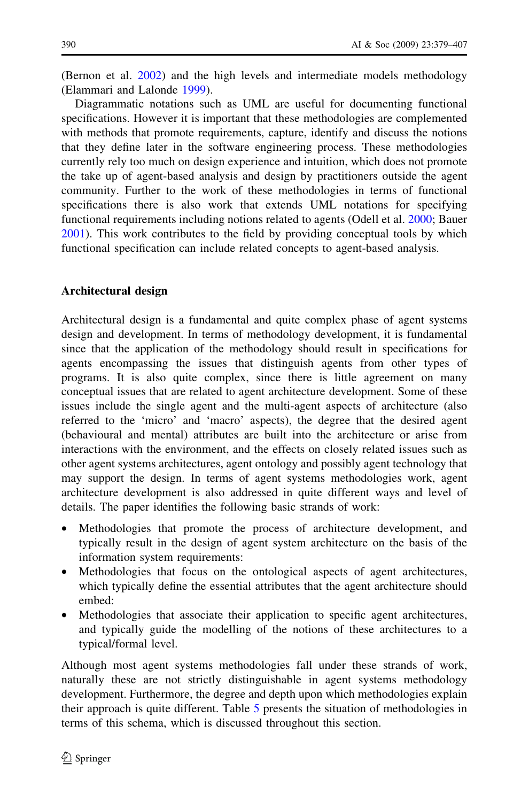(Bernon et al. [2002](#page-25-0)) and the high levels and intermediate models methodology (Elammari and Lalonde [1999](#page-26-0)).

Diagrammatic notations such as UML are useful for documenting functional specifications. However it is important that these methodologies are complemented with methods that promote requirements, capture, identify and discuss the notions that they define later in the software engineering process. These methodologies currently rely too much on design experience and intuition, which does not promote the take up of agent-based analysis and design by practitioners outside the agent community. Further to the work of these methodologies in terms of functional specifications there is also work that extends UML notations for specifying functional requirements including notions related to agents (Odell et al. [2000](#page-27-0); Bauer [2001\)](#page-25-0). This work contributes to the field by providing conceptual tools by which functional specification can include related concepts to agent-based analysis.

# Architectural design

Architectural design is a fundamental and quite complex phase of agent systems design and development. In terms of methodology development, it is fundamental since that the application of the methodology should result in specifications for agents encompassing the issues that distinguish agents from other types of programs. It is also quite complex, since there is little agreement on many conceptual issues that are related to agent architecture development. Some of these issues include the single agent and the multi-agent aspects of architecture (also referred to the 'micro' and 'macro' aspects), the degree that the desired agent (behavioural and mental) attributes are built into the architecture or arise from interactions with the environment, and the effects on closely related issues such as other agent systems architectures, agent ontology and possibly agent technology that may support the design. In terms of agent systems methodologies work, agent architecture development is also addressed in quite different ways and level of details. The paper identifies the following basic strands of work:

- Methodologies that promote the process of architecture development, and typically result in the design of agent system architecture on the basis of the information system requirements:
- Methodologies that focus on the ontological aspects of agent architectures, which typically define the essential attributes that the agent architecture should embed:
- Methodologies that associate their application to specific agent architectures, and typically guide the modelling of the notions of these architectures to a typical/formal level.

Although most agent systems methodologies fall under these strands of work, naturally these are not strictly distinguishable in agent systems methodology development. Furthermore, the degree and depth upon which methodologies explain their approach is quite different. Table [5](#page-12-0) presents the situation of methodologies in terms of this schema, which is discussed throughout this section.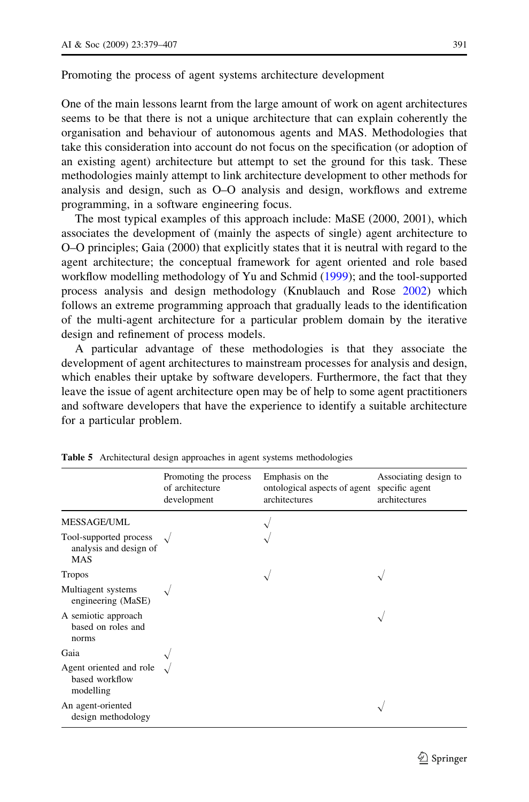<span id="page-12-0"></span>Promoting the process of agent systems architecture development

One of the main lessons learnt from the large amount of work on agent architectures seems to be that there is not a unique architecture that can explain coherently the organisation and behaviour of autonomous agents and MAS. Methodologies that take this consideration into account do not focus on the specification (or adoption of an existing agent) architecture but attempt to set the ground for this task. These methodologies mainly attempt to link architecture development to other methods for analysis and design, such as O–O analysis and design, workflows and extreme programming, in a software engineering focus.

The most typical examples of this approach include: MaSE (2000, 2001), which associates the development of (mainly the aspects of single) agent architecture to O–O principles; Gaia (2000) that explicitly states that it is neutral with regard to the agent architecture; the conceptual framework for agent oriented and role based workflow modelling methodology of Yu and Schmid [\(1999](#page-28-0)); and the tool-supported process analysis and design methodology (Knublauch and Rose [2002\)](#page-27-0) which follows an extreme programming approach that gradually leads to the identification of the multi-agent architecture for a particular problem domain by the iterative design and refinement of process models.

A particular advantage of these methodologies is that they associate the development of agent architectures to mainstream processes for analysis and design, which enables their uptake by software developers. Furthermore, the fact that they leave the issue of agent architecture open may be of help to some agent practitioners and software developers that have the experience to identify a suitable architecture for a particular problem.

|                                                                | Promoting the process<br>of architecture<br>development | Emphasis on the<br>ontological aspects of agent specific agent<br>architectures | Associating design to<br>architectures |
|----------------------------------------------------------------|---------------------------------------------------------|---------------------------------------------------------------------------------|----------------------------------------|
| <b>MESSAGE/UML</b>                                             |                                                         |                                                                                 |                                        |
| Tool-supported process<br>analysis and design of<br><b>MAS</b> |                                                         |                                                                                 |                                        |
| <b>Tropos</b>                                                  |                                                         |                                                                                 |                                        |
| Multiagent systems<br>engineering (MaSE)                       |                                                         |                                                                                 |                                        |
| A semiotic approach<br>based on roles and<br>norms             |                                                         |                                                                                 |                                        |
| Gaia                                                           |                                                         |                                                                                 |                                        |
| Agent oriented and role<br>based workflow<br>modelling         |                                                         |                                                                                 |                                        |
| An agent-oriented<br>design methodology                        |                                                         |                                                                                 |                                        |

Table 5 Architectural design approaches in agent systems methodologies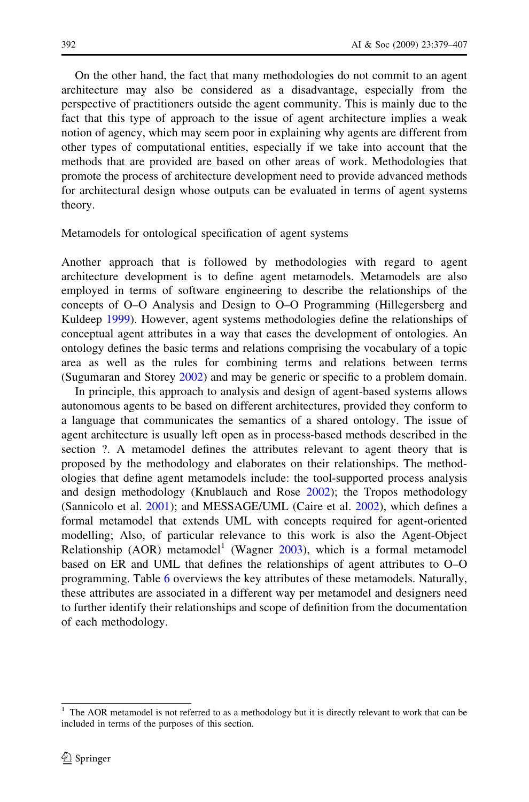On the other hand, the fact that many methodologies do not commit to an agent architecture may also be considered as a disadvantage, especially from the perspective of practitioners outside the agent community. This is mainly due to the fact that this type of approach to the issue of agent architecture implies a weak notion of agency, which may seem poor in explaining why agents are different from other types of computational entities, especially if we take into account that the methods that are provided are based on other areas of work. Methodologies that promote the process of architecture development need to provide advanced methods for architectural design whose outputs can be evaluated in terms of agent systems theory.

#### Metamodels for ontological specification of agent systems

Another approach that is followed by methodologies with regard to agent architecture development is to define agent metamodels. Metamodels are also employed in terms of software engineering to describe the relationships of the concepts of O–O Analysis and Design to O–O Programming (Hillegersberg and Kuldeep [1999](#page-26-0)). However, agent systems methodologies define the relationships of conceptual agent attributes in a way that eases the development of ontologies. An ontology defines the basic terms and relations comprising the vocabulary of a topic area as well as the rules for combining terms and relations between terms (Sugumaran and Storey [2002\)](#page-27-0) and may be generic or specific to a problem domain.

In principle, this approach to analysis and design of agent-based systems allows autonomous agents to be based on different architectures, provided they conform to a language that communicates the semantics of a shared ontology. The issue of agent architecture is usually left open as in process-based methods described in the section ?. A metamodel defines the attributes relevant to agent theory that is proposed by the methodology and elaborates on their relationships. The methodologies that define agent metamodels include: the tool-supported process analysis and design methodology (Knublauch and Rose [2002\)](#page-27-0); the Tropos methodology (Sannicolo et al. [2001](#page-27-0)); and MESSAGE/UML (Caire et al. [2002](#page-26-0)), which defines a formal metamodel that extends UML with concepts required for agent-oriented modelling; Also, of particular relevance to this work is also the Agent-Object Relationship (AOR) metamodel<sup>1</sup> (Wagner  $2003$ ), which is a formal metamodel based on ER and UML that defines the relationships of agent attributes to O–O programming. Table [6](#page-14-0) overviews the key attributes of these metamodels. Naturally, these attributes are associated in a different way per metamodel and designers need to further identify their relationships and scope of definition from the documentation of each methodology.

<sup>&</sup>lt;sup>1</sup> The AOR metamodel is not referred to as a methodology but it is directly relevant to work that can be included in terms of the purposes of this section.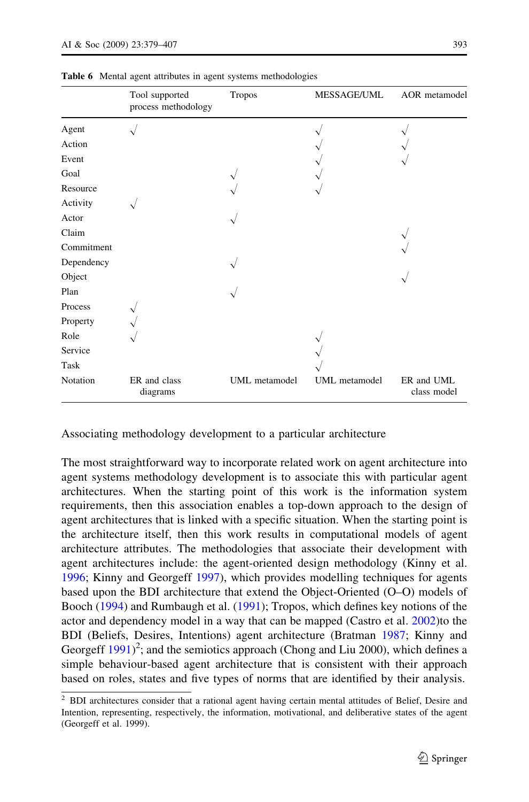|            | Tool supported<br>process methodology | Tropos        | MESSAGE/UML   | AOR metamodel             |
|------------|---------------------------------------|---------------|---------------|---------------------------|
| Agent      |                                       |               |               |                           |
| Action     |                                       |               |               |                           |
| Event      |                                       |               |               |                           |
| Goal       |                                       |               |               |                           |
| Resource   |                                       |               |               |                           |
| Activity   |                                       |               |               |                           |
| Actor      |                                       |               |               |                           |
| Claim      |                                       |               |               |                           |
| Commitment |                                       |               |               |                           |
| Dependency |                                       |               |               |                           |
| Object     |                                       |               |               |                           |
| Plan       |                                       |               |               |                           |
| Process    |                                       |               |               |                           |
| Property   |                                       |               |               |                           |
| Role       |                                       |               |               |                           |
| Service    |                                       |               |               |                           |
| Task       |                                       |               |               |                           |
| Notation   | ER and class<br>diagrams              | UML metamodel | UML metamodel | ER and UML<br>class model |

<span id="page-14-0"></span>Table 6 Mental agent attributes in agent systems methodologies

Associating methodology development to a particular architecture

The most straightforward way to incorporate related work on agent architecture into agent systems methodology development is to associate this with particular agent architectures. When the starting point of this work is the information system requirements, then this association enables a top-down approach to the design of agent architectures that is linked with a specific situation. When the starting point is the architecture itself, then this work results in computational models of agent architecture attributes. The methodologies that associate their development with agent architectures include: the agent-oriented design methodology (Kinny et al. [1996;](#page-27-0) Kinny and Georgeff [1997\)](#page-27-0), which provides modelling techniques for agents based upon the BDI architecture that extend the Object-Oriented (O–O) models of Booch ([1994\)](#page-25-0) and Rumbaugh et al. [\(1991](#page-27-0)); Tropos, which defines key notions of the actor and dependency model in a way that can be mapped (Castro et al. [2002](#page-26-0))to the BDI (Beliefs, Desires, Intentions) agent architecture (Bratman [1987](#page-25-0); Kinny and Georgeff [1991](#page-27-0))<sup>2</sup>; and the semiotics approach (Chong and Liu 2000), which defines a simple behaviour-based agent architecture that is consistent with their approach based on roles, states and five types of norms that are identified by their analysis.

<sup>&</sup>lt;sup>2</sup> BDI architectures consider that a rational agent having certain mental attitudes of Belief, Desire and Intention, representing, respectively, the information, motivational, and deliberative states of the agent (Georgeff et al. 1999).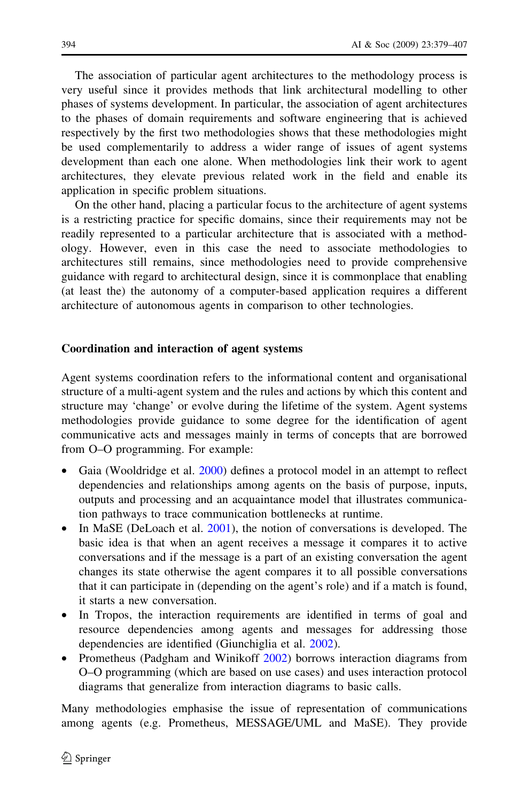The association of particular agent architectures to the methodology process is very useful since it provides methods that link architectural modelling to other phases of systems development. In particular, the association of agent architectures to the phases of domain requirements and software engineering that is achieved respectively by the first two methodologies shows that these methodologies might be used complementarily to address a wider range of issues of agent systems development than each one alone. When methodologies link their work to agent architectures, they elevate previous related work in the field and enable its application in specific problem situations.

On the other hand, placing a particular focus to the architecture of agent systems is a restricting practice for specific domains, since their requirements may not be readily represented to a particular architecture that is associated with a methodology. However, even in this case the need to associate methodologies to architectures still remains, since methodologies need to provide comprehensive guidance with regard to architectural design, since it is commonplace that enabling (at least the) the autonomy of a computer-based application requires a different architecture of autonomous agents in comparison to other technologies.

# Coordination and interaction of agent systems

Agent systems coordination refers to the informational content and organisational structure of a multi-agent system and the rules and actions by which this content and structure may 'change' or evolve during the lifetime of the system. Agent systems methodologies provide guidance to some degree for the identification of agent communicative acts and messages mainly in terms of concepts that are borrowed from O–O programming. For example:

- Gaia (Wooldridge et al. [2000](#page-28-0)) defines a protocol model in an attempt to reflect dependencies and relationships among agents on the basis of purpose, inputs, outputs and processing and an acquaintance model that illustrates communication pathways to trace communication bottlenecks at runtime.
- In MaSE (DeLoach et al. [2001](#page-26-0)), the notion of conversations is developed. The basic idea is that when an agent receives a message it compares it to active conversations and if the message is a part of an existing conversation the agent changes its state otherwise the agent compares it to all possible conversations that it can participate in (depending on the agent's role) and if a match is found, it starts a new conversation.
- In Tropos, the interaction requirements are identified in terms of goal and resource dependencies among agents and messages for addressing those dependencies are identified (Giunchiglia et al. [2002](#page-26-0)).
- Prometheus (Padgham and Winikoff [2002\)](#page-27-0) borrows interaction diagrams from O–O programming (which are based on use cases) and uses interaction protocol diagrams that generalize from interaction diagrams to basic calls.

Many methodologies emphasise the issue of representation of communications among agents (e.g. Prometheus, MESSAGE/UML and MaSE). They provide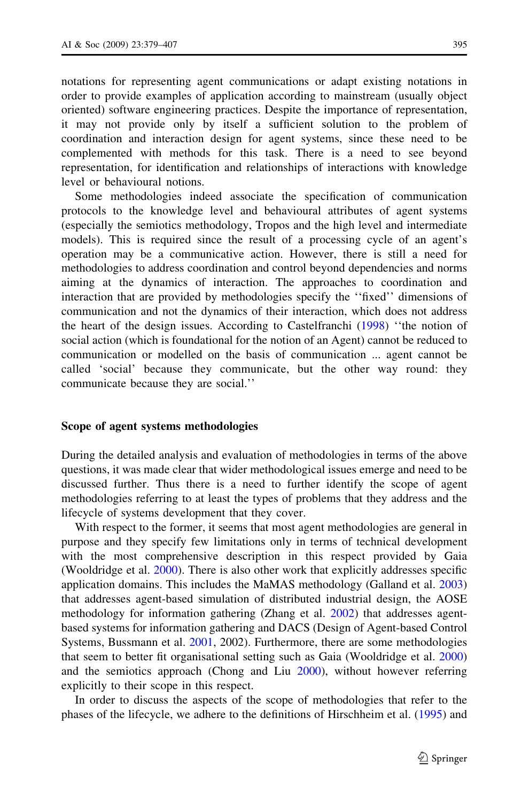notations for representing agent communications or adapt existing notations in order to provide examples of application according to mainstream (usually object oriented) software engineering practices. Despite the importance of representation, it may not provide only by itself a sufficient solution to the problem of coordination and interaction design for agent systems, since these need to be complemented with methods for this task. There is a need to see beyond representation, for identification and relationships of interactions with knowledge level or behavioural notions.

Some methodologies indeed associate the specification of communication protocols to the knowledge level and behavioural attributes of agent systems (especially the semiotics methodology, Tropos and the high level and intermediate models). This is required since the result of a processing cycle of an agent's operation may be a communicative action. However, there is still a need for methodologies to address coordination and control beyond dependencies and norms aiming at the dynamics of interaction. The approaches to coordination and interaction that are provided by methodologies specify the ''fixed'' dimensions of communication and not the dynamics of their interaction, which does not address the heart of the design issues. According to Castelfranchi ([1998\)](#page-26-0) ''the notion of social action (which is foundational for the notion of an Agent) cannot be reduced to communication or modelled on the basis of communication ... agent cannot be called 'social' because they communicate, but the other way round: they communicate because they are social.''

#### Scope of agent systems methodologies

During the detailed analysis and evaluation of methodologies in terms of the above questions, it was made clear that wider methodological issues emerge and need to be discussed further. Thus there is a need to further identify the scope of agent methodologies referring to at least the types of problems that they address and the lifecycle of systems development that they cover.

With respect to the former, it seems that most agent methodologies are general in purpose and they specify few limitations only in terms of technical development with the most comprehensive description in this respect provided by Gaia (Wooldridge et al. [2000\)](#page-28-0). There is also other work that explicitly addresses specific application domains. This includes the MaMAS methodology (Galland et al. [2003](#page-26-0)) that addresses agent-based simulation of distributed industrial design, the AOSE methodology for information gathering (Zhang et al. [2002\)](#page-28-0) that addresses agentbased systems for information gathering and DACS (Design of Agent-based Control Systems, Bussmann et al. [2001](#page-26-0), 2002). Furthermore, there are some methodologies that seem to better fit organisational setting such as Gaia (Wooldridge et al. [2000](#page-28-0)) and the semiotics approach (Chong and Liu [2000\)](#page-26-0), without however referring explicitly to their scope in this respect.

In order to discuss the aspects of the scope of methodologies that refer to the phases of the lifecycle, we adhere to the definitions of Hirschheim et al. ([1995\)](#page-26-0) and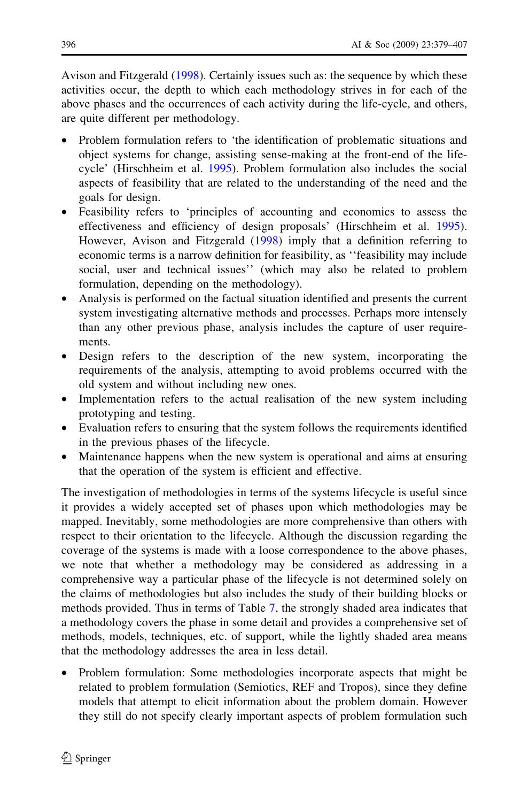Avison and Fitzgerald ([1998\)](#page-25-0). Certainly issues such as: the sequence by which these activities occur, the depth to which each methodology strives in for each of the above phases and the occurrences of each activity during the life-cycle, and others, are quite different per methodology.

- Problem formulation refers to 'the identification of problematic situations and object systems for change, assisting sense-making at the front-end of the lifecycle' (Hirschheim et al. [1995\)](#page-26-0). Problem formulation also includes the social aspects of feasibility that are related to the understanding of the need and the goals for design.
- Feasibility refers to 'principles of accounting and economics to assess the effectiveness and efficiency of design proposals' (Hirschheim et al. [1995\)](#page-26-0). However, Avison and Fitzgerald ([1998](#page-25-0)) imply that a definition referring to economic terms is a narrow definition for feasibility, as ''feasibility may include social, user and technical issues'' (which may also be related to problem formulation, depending on the methodology).
- Analysis is performed on the factual situation identified and presents the current system investigating alternative methods and processes. Perhaps more intensely than any other previous phase, analysis includes the capture of user requirements.
- Design refers to the description of the new system, incorporating the requirements of the analysis, attempting to avoid problems occurred with the old system and without including new ones.
- Implementation refers to the actual realisation of the new system including prototyping and testing.
- Evaluation refers to ensuring that the system follows the requirements identified in the previous phases of the lifecycle.
- Maintenance happens when the new system is operational and aims at ensuring that the operation of the system is efficient and effective.

The investigation of methodologies in terms of the systems lifecycle is useful since it provides a widely accepted set of phases upon which methodologies may be mapped. Inevitably, some methodologies are more comprehensive than others with respect to their orientation to the lifecycle. Although the discussion regarding the coverage of the systems is made with a loose correspondence to the above phases, we note that whether a methodology may be considered as addressing in a comprehensive way a particular phase of the lifecycle is not determined solely on the claims of methodologies but also includes the study of their building blocks or methods provided. Thus in terms of Table [7,](#page-18-0) the strongly shaded area indicates that a methodology covers the phase in some detail and provides a comprehensive set of methods, models, techniques, etc. of support, while the lightly shaded area means that the methodology addresses the area in less detail.

• Problem formulation: Some methodologies incorporate aspects that might be related to problem formulation (Semiotics, REF and Tropos), since they define models that attempt to elicit information about the problem domain. However they still do not specify clearly important aspects of problem formulation such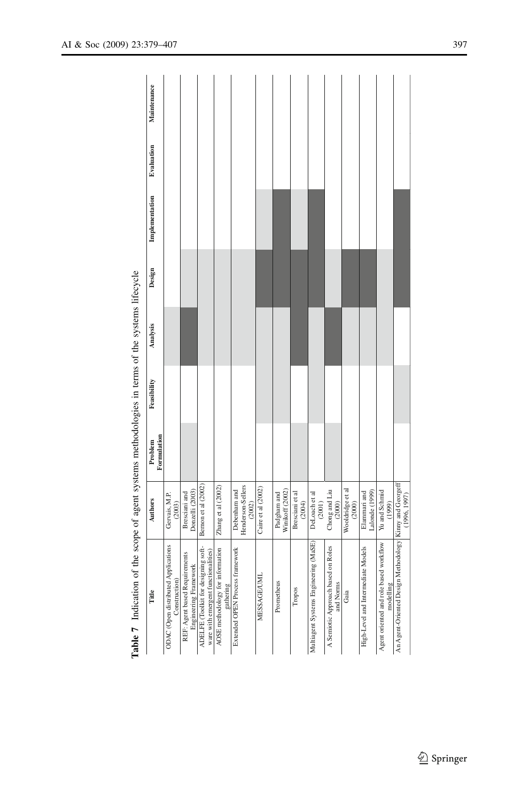<span id="page-18-0"></span>

| Bernon et al (2002)<br>Henderson-Sellers<br>Zhang et al (2002)<br>Caire et al (2002)<br>Wooldridge et al<br>(2000)<br>Donzelli (2003)<br>Debenham and<br>Yu and Schmid<br>Winikoff (2002)<br>Chong and Liu<br>Bresciani et al<br>Lalonde (1999)<br>Bresciani and<br>Elammari and<br>DeLoach et al<br>Padgham and<br>Gervais, M.P.<br><b>Authors</b><br>(2004)<br>(2000)<br>(2001)<br>(2002)<br>(2003)<br>Multiagent Systems Engineering (MaSE)<br>Agent oriented and role based workflow<br>ODAC (Open distributed Applications<br>ADELFE (Toolkit for designing soft-<br>AOSE methodology for information<br>A Semiotic Approach based on Roles<br>High-Level and Intermediate Models<br>Extended OPEN Process framework<br>ware with emergent functionalities)<br>REF: Agent based Requirements<br>Engineering Framework | Maintenance<br>Evaluation<br>Implementation<br>Design<br>Analysis<br>Feasibility<br>Formulation<br>Problem |  |  |  |  |  |  |        |
|----------------------------------------------------------------------------------------------------------------------------------------------------------------------------------------------------------------------------------------------------------------------------------------------------------------------------------------------------------------------------------------------------------------------------------------------------------------------------------------------------------------------------------------------------------------------------------------------------------------------------------------------------------------------------------------------------------------------------------------------------------------------------------------------------------------------------|------------------------------------------------------------------------------------------------------------|--|--|--|--|--|--|--------|
|                                                                                                                                                                                                                                                                                                                                                                                                                                                                                                                                                                                                                                                                                                                                                                                                                            |                                                                                                            |  |  |  |  |  |  | (1999) |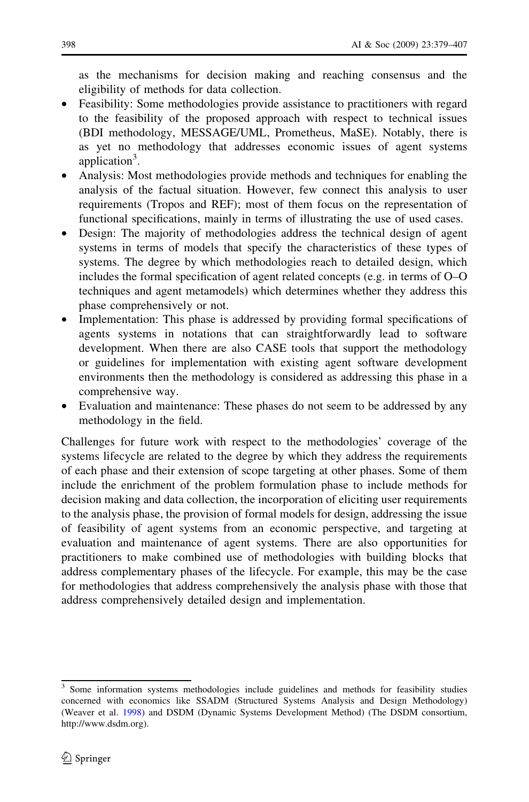as the mechanisms for decision making and reaching consensus and the eligibility of methods for data collection.

- Feasibility: Some methodologies provide assistance to practitioners with regard to the feasibility of the proposed approach with respect to technical issues (BDI methodology, MESSAGE/UML, Prometheus, MaSE). Notably, there is as yet no methodology that addresses economic issues of agent systems application<sup>3</sup>.
- Analysis: Most methodologies provide methods and techniques for enabling the analysis of the factual situation. However, few connect this analysis to user requirements (Tropos and REF); most of them focus on the representation of functional specifications, mainly in terms of illustrating the use of used cases.
- Design: The majority of methodologies address the technical design of agent systems in terms of models that specify the characteristics of these types of systems. The degree by which methodologies reach to detailed design, which includes the formal specification of agent related concepts (e.g. in terms of O–O techniques and agent metamodels) which determines whether they address this phase comprehensively or not.
- Implementation: This phase is addressed by providing formal specifications of agents systems in notations that can straightforwardly lead to software development. When there are also CASE tools that support the methodology or guidelines for implementation with existing agent software development environments then the methodology is considered as addressing this phase in a comprehensive way.
- Evaluation and maintenance: These phases do not seem to be addressed by any methodology in the field.

Challenges for future work with respect to the methodologies' coverage of the systems lifecycle are related to the degree by which they address the requirements of each phase and their extension of scope targeting at other phases. Some of them include the enrichment of the problem formulation phase to include methods for decision making and data collection, the incorporation of eliciting user requirements to the analysis phase, the provision of formal models for design, addressing the issue of feasibility of agent systems from an economic perspective, and targeting at evaluation and maintenance of agent systems. There are also opportunities for practitioners to make combined use of methodologies with building blocks that address complementary phases of the lifecycle. For example, this may be the case for methodologies that address comprehensively the analysis phase with those that address comprehensively detailed design and implementation.

<sup>&</sup>lt;sup>3</sup> Some information systems methodologies include guidelines and methods for feasibility studies concerned with economics like SSADM (Structured Systems Analysis and Design Methodology) (Weaver et al. [1998\)](#page-27-0) and DSDM (Dynamic Systems Development Method) (The DSDM consortium, http://www.dsdm.org).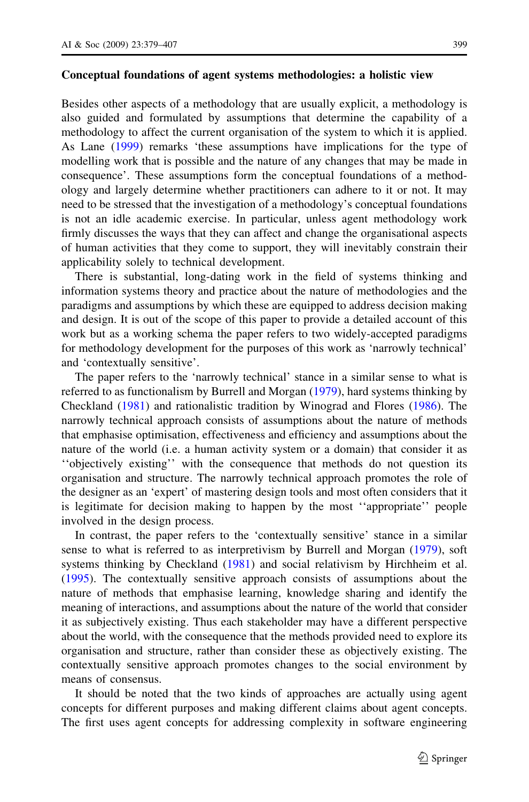#### Conceptual foundations of agent systems methodologies: a holistic view

Besides other aspects of a methodology that are usually explicit, a methodology is also guided and formulated by assumptions that determine the capability of a methodology to affect the current organisation of the system to which it is applied. As Lane ([1999\)](#page-27-0) remarks 'these assumptions have implications for the type of modelling work that is possible and the nature of any changes that may be made in consequence'. These assumptions form the conceptual foundations of a methodology and largely determine whether practitioners can adhere to it or not. It may need to be stressed that the investigation of a methodology's conceptual foundations is not an idle academic exercise. In particular, unless agent methodology work firmly discusses the ways that they can affect and change the organisational aspects of human activities that they come to support, they will inevitably constrain their applicability solely to technical development.

There is substantial, long-dating work in the field of systems thinking and information systems theory and practice about the nature of methodologies and the paradigms and assumptions by which these are equipped to address decision making and design. It is out of the scope of this paper to provide a detailed account of this work but as a working schema the paper refers to two widely-accepted paradigms for methodology development for the purposes of this work as 'narrowly technical' and 'contextually sensitive'.

The paper refers to the 'narrowly technical' stance in a similar sense to what is referred to as functionalism by Burrell and Morgan [\(1979](#page-25-0)), hard systems thinking by Checkland ([1981\)](#page-26-0) and rationalistic tradition by Winograd and Flores [\(1986](#page-28-0)). The narrowly technical approach consists of assumptions about the nature of methods that emphasise optimisation, effectiveness and efficiency and assumptions about the nature of the world (i.e. a human activity system or a domain) that consider it as ''objectively existing'' with the consequence that methods do not question its organisation and structure. The narrowly technical approach promotes the role of the designer as an 'expert' of mastering design tools and most often considers that it is legitimate for decision making to happen by the most ''appropriate'' people involved in the design process.

In contrast, the paper refers to the 'contextually sensitive' stance in a similar sense to what is referred to as interpretivism by Burrell and Morgan ([1979\)](#page-25-0), soft systems thinking by Checkland ([1981\)](#page-26-0) and social relativism by Hirchheim et al. [\(1995](#page-26-0)). The contextually sensitive approach consists of assumptions about the nature of methods that emphasise learning, knowledge sharing and identify the meaning of interactions, and assumptions about the nature of the world that consider it as subjectively existing. Thus each stakeholder may have a different perspective about the world, with the consequence that the methods provided need to explore its organisation and structure, rather than consider these as objectively existing. The contextually sensitive approach promotes changes to the social environment by means of consensus.

It should be noted that the two kinds of approaches are actually using agent concepts for different purposes and making different claims about agent concepts. The first uses agent concepts for addressing complexity in software engineering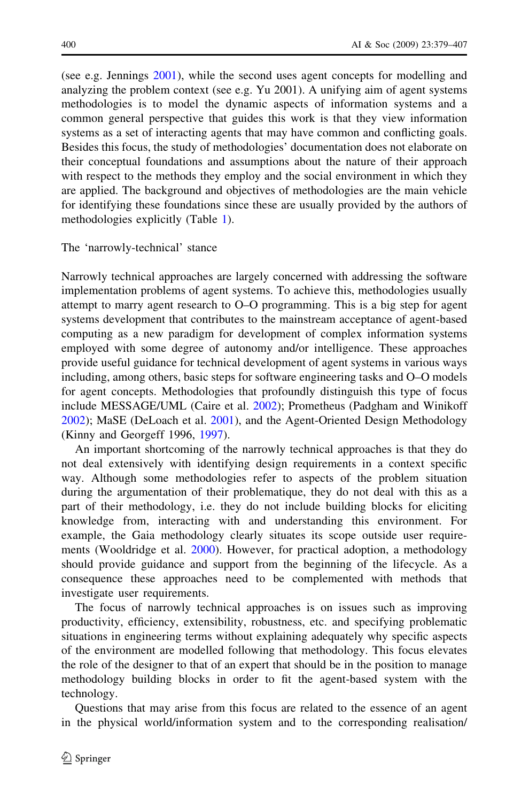(see e.g. Jennings [2001](#page-27-0)), while the second uses agent concepts for modelling and analyzing the problem context (see e.g. Yu 2001). A unifying aim of agent systems methodologies is to model the dynamic aspects of information systems and a common general perspective that guides this work is that they view information systems as a set of interacting agents that may have common and conflicting goals. Besides this focus, the study of methodologies' documentation does not elaborate on their conceptual foundations and assumptions about the nature of their approach with respect to the methods they employ and the social environment in which they are applied. The background and objectives of methodologies are the main vehicle for identifying these foundations since these are usually provided by the authors of methodologies explicitly (Table [1](#page-5-0)).

#### The 'narrowly-technical' stance

Narrowly technical approaches are largely concerned with addressing the software implementation problems of agent systems. To achieve this, methodologies usually attempt to marry agent research to O–O programming. This is a big step for agent systems development that contributes to the mainstream acceptance of agent-based computing as a new paradigm for development of complex information systems employed with some degree of autonomy and/or intelligence. These approaches provide useful guidance for technical development of agent systems in various ways including, among others, basic steps for software engineering tasks and O–O models for agent concepts. Methodologies that profoundly distinguish this type of focus include MESSAGE/UML (Caire et al. [2002](#page-26-0)); Prometheus (Padgham and Winikoff [2002\)](#page-27-0); MaSE (DeLoach et al. [2001\)](#page-26-0), and the Agent-Oriented Design Methodology (Kinny and Georgeff 1996, [1997\)](#page-27-0).

An important shortcoming of the narrowly technical approaches is that they do not deal extensively with identifying design requirements in a context specific way. Although some methodologies refer to aspects of the problem situation during the argumentation of their problematique, they do not deal with this as a part of their methodology, i.e. they do not include building blocks for eliciting knowledge from, interacting with and understanding this environment. For example, the Gaia methodology clearly situates its scope outside user requirements (Wooldridge et al. [2000\)](#page-28-0). However, for practical adoption, a methodology should provide guidance and support from the beginning of the lifecycle. As a consequence these approaches need to be complemented with methods that investigate user requirements.

The focus of narrowly technical approaches is on issues such as improving productivity, efficiency, extensibility, robustness, etc. and specifying problematic situations in engineering terms without explaining adequately why specific aspects of the environment are modelled following that methodology. This focus elevates the role of the designer to that of an expert that should be in the position to manage methodology building blocks in order to fit the agent-based system with the technology.

Questions that may arise from this focus are related to the essence of an agent in the physical world/information system and to the corresponding realisation/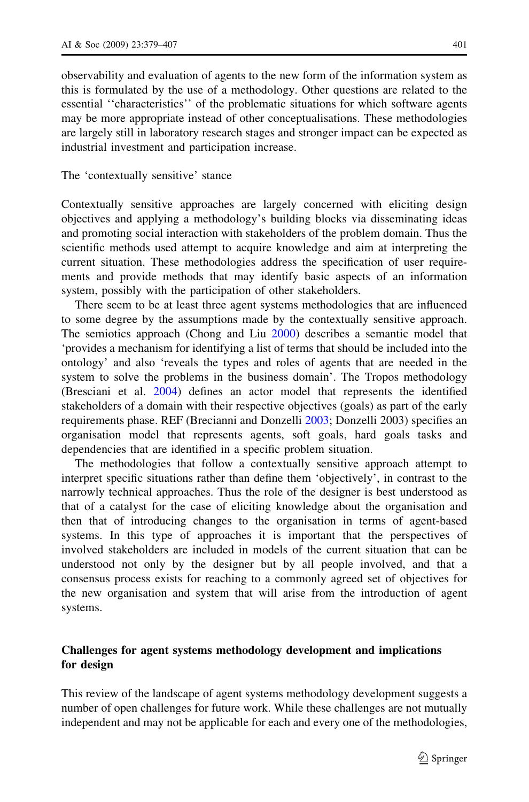observability and evaluation of agents to the new form of the information system as this is formulated by the use of a methodology. Other questions are related to the essential ''characteristics'' of the problematic situations for which software agents may be more appropriate instead of other conceptualisations. These methodologies are largely still in laboratory research stages and stronger impact can be expected as industrial investment and participation increase.

### The 'contextually sensitive' stance

Contextually sensitive approaches are largely concerned with eliciting design objectives and applying a methodology's building blocks via disseminating ideas and promoting social interaction with stakeholders of the problem domain. Thus the scientific methods used attempt to acquire knowledge and aim at interpreting the current situation. These methodologies address the specification of user requirements and provide methods that may identify basic aspects of an information system, possibly with the participation of other stakeholders.

There seem to be at least three agent systems methodologies that are influenced to some degree by the assumptions made by the contextually sensitive approach. The semiotics approach (Chong and Liu [2000\)](#page-26-0) describes a semantic model that 'provides a mechanism for identifying a list of terms that should be included into the ontology' and also 'reveals the types and roles of agents that are needed in the system to solve the problems in the business domain'. The Tropos methodology (Bresciani et al. [2004\)](#page-25-0) defines an actor model that represents the identified stakeholders of a domain with their respective objectives (goals) as part of the early requirements phase. REF (Brecianni and Donzelli [2003;](#page-25-0) Donzelli 2003) specifies an organisation model that represents agents, soft goals, hard goals tasks and dependencies that are identified in a specific problem situation.

The methodologies that follow a contextually sensitive approach attempt to interpret specific situations rather than define them 'objectively', in contrast to the narrowly technical approaches. Thus the role of the designer is best understood as that of a catalyst for the case of eliciting knowledge about the organisation and then that of introducing changes to the organisation in terms of agent-based systems. In this type of approaches it is important that the perspectives of involved stakeholders are included in models of the current situation that can be understood not only by the designer but by all people involved, and that a consensus process exists for reaching to a commonly agreed set of objectives for the new organisation and system that will arise from the introduction of agent systems.

# Challenges for agent systems methodology development and implications for design

This review of the landscape of agent systems methodology development suggests a number of open challenges for future work. While these challenges are not mutually independent and may not be applicable for each and every one of the methodologies,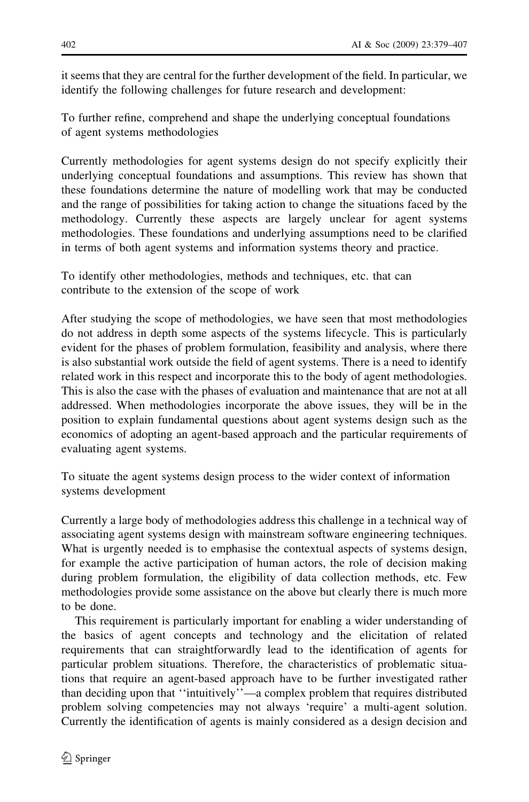it seems that they are central for the further development of the field. In particular, we identify the following challenges for future research and development:

To further refine, comprehend and shape the underlying conceptual foundations of agent systems methodologies

Currently methodologies for agent systems design do not specify explicitly their underlying conceptual foundations and assumptions. This review has shown that these foundations determine the nature of modelling work that may be conducted and the range of possibilities for taking action to change the situations faced by the methodology. Currently these aspects are largely unclear for agent systems methodologies. These foundations and underlying assumptions need to be clarified in terms of both agent systems and information systems theory and practice.

To identify other methodologies, methods and techniques, etc. that can contribute to the extension of the scope of work

After studying the scope of methodologies, we have seen that most methodologies do not address in depth some aspects of the systems lifecycle. This is particularly evident for the phases of problem formulation, feasibility and analysis, where there is also substantial work outside the field of agent systems. There is a need to identify related work in this respect and incorporate this to the body of agent methodologies. This is also the case with the phases of evaluation and maintenance that are not at all addressed. When methodologies incorporate the above issues, they will be in the position to explain fundamental questions about agent systems design such as the economics of adopting an agent-based approach and the particular requirements of evaluating agent systems.

To situate the agent systems design process to the wider context of information systems development

Currently a large body of methodologies address this challenge in a technical way of associating agent systems design with mainstream software engineering techniques. What is urgently needed is to emphasise the contextual aspects of systems design, for example the active participation of human actors, the role of decision making during problem formulation, the eligibility of data collection methods, etc. Few methodologies provide some assistance on the above but clearly there is much more to be done.

This requirement is particularly important for enabling a wider understanding of the basics of agent concepts and technology and the elicitation of related requirements that can straightforwardly lead to the identification of agents for particular problem situations. Therefore, the characteristics of problematic situations that require an agent-based approach have to be further investigated rather than deciding upon that ''intuitively''—a complex problem that requires distributed problem solving competencies may not always 'require' a multi-agent solution. Currently the identification of agents is mainly considered as a design decision and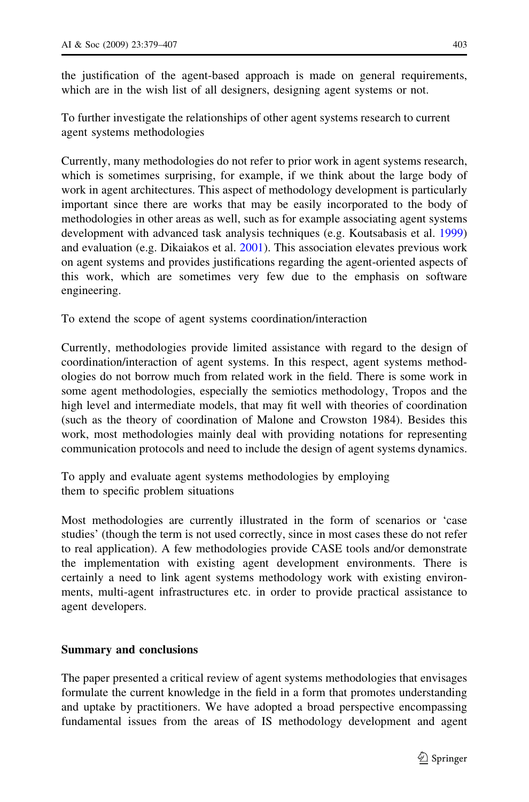the justification of the agent-based approach is made on general requirements, which are in the wish list of all designers, designing agent systems or not.

To further investigate the relationships of other agent systems research to current agent systems methodologies

Currently, many methodologies do not refer to prior work in agent systems research, which is sometimes surprising, for example, if we think about the large body of work in agent architectures. This aspect of methodology development is particularly important since there are works that may be easily incorporated to the body of methodologies in other areas as well, such as for example associating agent systems development with advanced task analysis techniques (e.g. Koutsabasis et al. [1999](#page-27-0)) and evaluation (e.g. Dikaiakos et al. [2001](#page-26-0)). This association elevates previous work on agent systems and provides justifications regarding the agent-oriented aspects of this work, which are sometimes very few due to the emphasis on software engineering.

To extend the scope of agent systems coordination/interaction

Currently, methodologies provide limited assistance with regard to the design of coordination/interaction of agent systems. In this respect, agent systems methodologies do not borrow much from related work in the field. There is some work in some agent methodologies, especially the semiotics methodology, Tropos and the high level and intermediate models, that may fit well with theories of coordination (such as the theory of coordination of Malone and Crowston 1984). Besides this work, most methodologies mainly deal with providing notations for representing communication protocols and need to include the design of agent systems dynamics.

To apply and evaluate agent systems methodologies by employing them to specific problem situations

Most methodologies are currently illustrated in the form of scenarios or 'case studies' (though the term is not used correctly, since in most cases these do not refer to real application). A few methodologies provide CASE tools and/or demonstrate the implementation with existing agent development environments. There is certainly a need to link agent systems methodology work with existing environments, multi-agent infrastructures etc. in order to provide practical assistance to agent developers.

# Summary and conclusions

The paper presented a critical review of agent systems methodologies that envisages formulate the current knowledge in the field in a form that promotes understanding and uptake by practitioners. We have adopted a broad perspective encompassing fundamental issues from the areas of IS methodology development and agent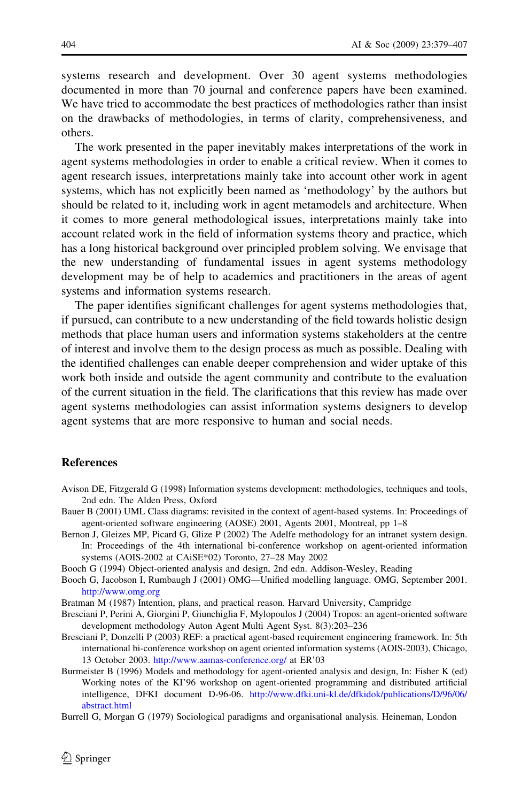<span id="page-25-0"></span>systems research and development. Over 30 agent systems methodologies documented in more than 70 journal and conference papers have been examined. We have tried to accommodate the best practices of methodologies rather than insist on the drawbacks of methodologies, in terms of clarity, comprehensiveness, and others.

The work presented in the paper inevitably makes interpretations of the work in agent systems methodologies in order to enable a critical review. When it comes to agent research issues, interpretations mainly take into account other work in agent systems, which has not explicitly been named as 'methodology' by the authors but should be related to it, including work in agent metamodels and architecture. When it comes to more general methodological issues, interpretations mainly take into account related work in the field of information systems theory and practice, which has a long historical background over principled problem solving. We envisage that the new understanding of fundamental issues in agent systems methodology development may be of help to academics and practitioners in the areas of agent systems and information systems research.

The paper identifies significant challenges for agent systems methodologies that, if pursued, can contribute to a new understanding of the field towards holistic design methods that place human users and information systems stakeholders at the centre of interest and involve them to the design process as much as possible. Dealing with the identified challenges can enable deeper comprehension and wider uptake of this work both inside and outside the agent community and contribute to the evaluation of the current situation in the field. The clarifications that this review has made over agent systems methodologies can assist information systems designers to develop agent systems that are more responsive to human and social needs.

# References

- Avison DE, Fitzgerald G (1998) Information systems development: methodologies, techniques and tools, 2nd edn. The Alden Press, Oxford
- Bauer B (2001) UML Class diagrams: revisited in the context of agent-based systems. In: Proceedings of agent-oriented software engineering (AOSE) 2001, Agents 2001, Montreal, pp 1–8
- Bernon J, Gleizes MP, Picard G, Glize P (2002) The Adelfe methodology for an intranet system design. In: Proceedings of the 4th international bi-conference workshop on agent-oriented information systems (AOIS-2002 at CAiSE\*02) Toronto, 27–28 May 2002
- Booch G (1994) Object-oriented analysis and design, 2nd edn. Addison-Wesley, Reading
- Booch G, Jacobson I, Rumbaugh J (2001) OMG—Unified modelling language. OMG, September 2001. <http://www.omg.org>
- Bratman M (1987) Intention, plans, and practical reason. Harvard University, Campridge
- Bresciani P, Perini A, Giorgini P, Giunchiglia F, Mylopoulos J (2004) Tropos: an agent-oriented software development methodology Auton Agent Multi Agent Syst. 8(3):203–236
- Bresciani P, Donzelli P (2003) REF: a practical agent-based requirement engineering framework. In: 5th international bi-conference workshop on agent oriented information systems (AOIS-2003), Chicago, 13 October 2003. <http://www.aamas-conference.org/> at ER'03
- Burmeister B (1996) Models and methodology for agent-oriented analysis and design, In: Fisher K (ed) Working notes of the KI'96 workshop on agent-oriented programming and distributed artificial intelligence, DFKI document D-96-06. [http://www.dfki.uni-kl.de/dfkidok/publications/D/96/06/](http://www.dfki.uni-kl.de/dfkidok/publications/D/96/06/abstract.html) [abstract.html](http://www.dfki.uni-kl.de/dfkidok/publications/D/96/06/abstract.html)
- Burrell G, Morgan G (1979) Sociological paradigms and organisational analysis. Heineman, London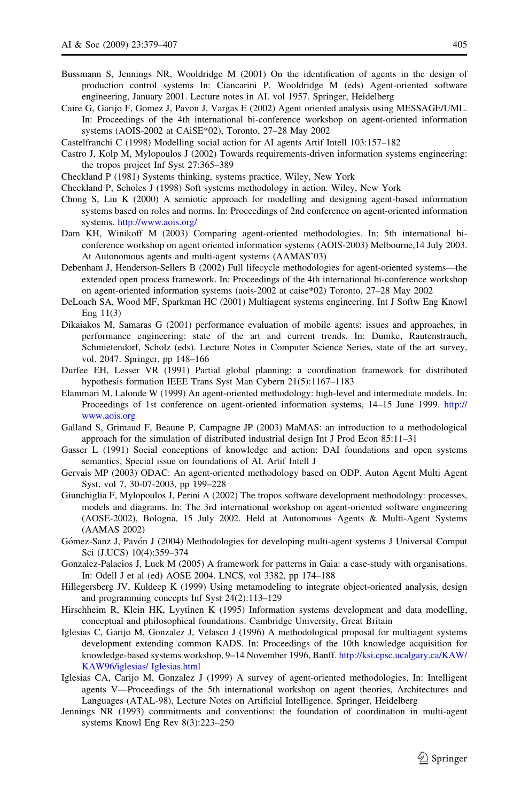- <span id="page-26-0"></span>Bussmann S, Jennings NR, Wooldridge M (2001) On the identification of agents in the design of production control systems In: Ciancarini P, Wooldridge M (eds) Agent-oriented software engineering, January 2001. Lecture notes in AI. vol 1957. Springer, Heidelberg
- Caire G, Garijo F, Gomez J, Pavon J, Vargas E (2002) Agent oriented analysis using MESSAGE/UML. In: Proceedings of the 4th international bi-conference workshop on agent-oriented information systems (AOIS-2002 at CAiSE\*02), Toronto, 27–28 May 2002
- Castelfranchi C (1998) Modelling social action for AI agents Artif Intell 103:157–182
- Castro J, Kolp M, Mylopoulos J (2002) Towards requirements-driven information systems engineering: the tropos project Inf Syst 27:365–389
- Checkland P (1981) Systems thinking, systems practice. Wiley, New York
- Checkland P, Scholes J (1998) Soft systems methodology in action. Wiley, New York
- Chong S, Liu K (2000) A semiotic approach for modelling and designing agent-based information systems based on roles and norms. In: Proceedings of 2nd conference on agent-oriented information systems. <http://www.aois.org/>
- Dam KH, Winikoff M (2003) Comparing agent-oriented methodologies. In: 5th international biconference workshop on agent oriented information systems (AOIS-2003) Melbourne,14 July 2003. At Autonomous agents and multi-agent systems (AAMAS'03)
- Debenham J, Henderson-Sellers B (2002) Full lifecycle methodologies for agent-oriented systems—the extended open process framework. In: Proceedings of the 4th international bi-conference workshop on agent-oriented information systems (aois-2002 at caise\*02) Toronto, 27–28 May 2002
- DeLoach SA, Wood MF, Sparkman HC (2001) Multiagent systems engineering. Int J Softw Eng Knowl Eng 11(3)
- Dikaiakos M, Samaras G (2001) performance evaluation of mobile agents: issues and approaches, in performance engineering: state of the art and current trends. In: Dumke, Rautenstrauch, Schmietendorf, Scholz (eds). Lecture Notes in Computer Science Series, state of the art survey, vol. 2047. Springer, pp 148–166
- Durfee EH, Lesser VR (1991) Partial global planning: a coordination framework for distributed hypothesis formation IEEE Trans Syst Man Cybern 21(5):1167–1183
- Elammari M, Lalonde W (1999) An agent-oriented methodology: high-level and intermediate models. In: Proceedings of 1st conference on agent-oriented information systems, 14–15 June 1999. [http://](http://www.aois.org) [www.aois.org](http://www.aois.org)
- Galland S, Grimaud F, Beaune P, Campagne JP (2003) MaMAS: an introduction to a methodological approach for the simulation of distributed industrial design Int J Prod Econ 85:11–31
- Gasser L (1991) Social conceptions of knowledge and action: DAI foundations and open systems semantics, Special issue on foundations of AI. Artif Intell J
- Gervais MP (2003) ODAC: An agent-oriented methodology based on ODP. Auton Agent Multi Agent Syst, vol 7, 30-07-2003, pp 199–228
- Giunchiglia F, Mylopoulos J, Perini A (2002) The tropos software development methodology: processes, models and diagrams. In: The 3rd international workshop on agent-oriented software engineering (AOSE-2002), Bologna, 15 July 2002. Held at Autonomous Agents & Multi-Agent Systems (AAMAS 2002)
- Gómez-Sanz J, Pavón J (2004) Methodologies for developing multi-agent systems J Universal Comput Sci (J.UCS) 10(4):359–374
- Gonzalez-Palacios J, Luck M (2005) A framework for patterns in Gaia: a case-study with organisations. In: Odell J et al (ed) AOSE 2004. LNCS, vol 3382, pp 174–188
- Hillegersberg JV, Kuldeep K (1999) Using metamodeling to integrate object-oriented analysis, design and programming concepts Inf Syst 24(2):113–129
- Hirschheim R, Klein HK, Lyytinen K (1995) Information systems development and data modelling, conceptual and philosophical foundations. Cambridge University, Great Britain
- Iglesias C, Garijo M, Gonzalez J, Velasco J (1996) A methodological proposal for multiagent systems development extending common KADS. In: Proceedings of the 10th knowledge acquisition for knowledge-based systems workshop, 9–14 November 1996, Banff. [http://ksi.cpsc.ucalgary.ca/KAW/](http://ksi.cpsc.ucalgary.ca/KAW/KAW96/iglesias/ Iglesias.html) [KAW96/iglesias/ Iglesias.html](http://ksi.cpsc.ucalgary.ca/KAW/KAW96/iglesias/ Iglesias.html)
- Iglesias CA, Carijo M, Gonzalez J (1999) A survey of agent-oriented methodologies, In: Intelligent agents V—Proceedings of the 5th international workshop on agent theories, Architectures and Languages (ATAL-98), Lecture Notes on Artificial Intelligence. Springer, Heidelberg
- Jennings NR (1993) commitments and conventions: the foundation of coordination in multi-agent systems Knowl Eng Rev 8(3):223–250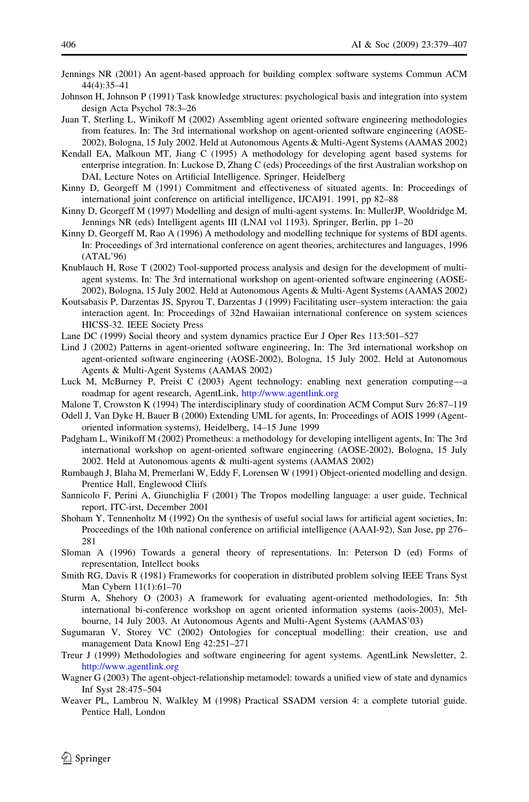- <span id="page-27-0"></span>Jennings NR (2001) An agent-based approach for building complex software systems Commun ACM 44(4):35–41
- Johnson H, Johnson P (1991) Task knowledge structures: psychological basis and integration into system design Acta Psychol 78:3–26
- Juan T, Sterling L, Winikoff M (2002) Assembling agent oriented software engineering methodologies from features. In: The 3rd international workshop on agent-oriented software engineering (AOSE-2002), Bologna, 15 July 2002. Held at Autonomous Agents & Multi-Agent Systems (AAMAS 2002)
- Kendall EA, Malkoun MT, Jiang C (1995) A methodology for developing agent based systems for enterprise integration. In: Luckose D, Zhang C (eds) Proceedings of the first Australian workshop on DAI, Lecture Notes on Artificial Intelligence. Springer, Heidelberg
- Kinny D, Georgeff M (1991) Commitment and effectiveness of situated agents. In: Proceedings of international joint conference on artificial intelligence, IJCAI91. 1991, pp 82–88
- Kinny D, Georgeff M (1997) Modelling and design of multi-agent systems. In: MullerJP, Wooldridge M, Jennings NR (eds) Intelligent agents III (LNAI vol 1193). Springer, Berlin, pp 1–20
- Kinny D, Georgeff M, Rao A (1996) A methodology and modelling technique for systems of BDI agents. In: Proceedings of 3rd international conference on agent theories, architectures and languages, 1996 (ATAL'96)
- Knublauch H, Rose T (2002) Tool-supported process analysis and design for the development of multiagent systems. In: The 3rd international workshop on agent-oriented software engineering (AOSE-2002), Bologna, 15 July 2002. Held at Autonomous Agents & Multi-Agent Systems (AAMAS 2002)
- Koutsabasis P, Darzentas JS, Spyrou T, Darzentas J (1999) Facilitating user–system interaction: the gaia interaction agent. In: Proceedings of 32nd Hawaiian international conference on system sciences HICSS-32. IEEE Society Press
- Lane DC (1999) Social theory and system dynamics practice Eur J Oper Res 113:501–527
- Lind J (2002) Patterns in agent-oriented software engineering, In: The 3rd international workshop on agent-oriented software engineering (AOSE-2002), Bologna, 15 July 2002. Held at Autonomous Agents & Multi-Agent Systems (AAMAS 2002)
- Luck M, McBurney P, Preist C (2003) Agent technology: enabling next generation computing—a roadmap for agent research, AgentLink, <http://www.agentlink.org>
- Malone T, Crowston K (1994) The interdisciplinary study of coordination ACM Comput Surv 26:87–119
- Odell J, Van Dyke H, Bauer B (2000) Extending UML for agents, In: Proceedings of AOIS 1999 (Agentoriented information systems), Heidelberg, 14–15 June 1999
- Padgham L, Winikoff M (2002) Prometheus: a methodology for developing intelligent agents, In: The 3rd international workshop on agent-oriented software engineering (AOSE-2002), Bologna, 15 July 2002. Held at Autonomous agents & multi-agent systems (AAMAS 2002)
- Rumbaugh J, Blaha M, Premerlani W, Eddy F, Lorensen W (1991) Object-oriented modelling and design. Prentice Hall, Englewood Cliifs
- Sannicolo F, Perini A, Giunchiglia F (2001) The Tropos modelling language: a user guide, Technical report, ITC-irst, December 2001
- Shoham Y, Tennenholtz M (1992) On the synthesis of useful social laws for artificial agent societies, In: Proceedings of the 10th national conference on artificial intelligence (AAAI-92), San Jose, pp 276– 281
- Sloman A (1996) Towards a general theory of representations. In: Peterson D (ed) Forms of representation, Intellect books
- Smith RG, Davis R (1981) Frameworks for cooperation in distributed problem solving IEEE Trans Syst Man Cybern 11(1):61–70
- Sturm A, Shehory O (2003) A framework for evaluating agent-oriented methodologies, In: 5th international bi-conference workshop on agent oriented information systems (aois-2003), Melbourne, 14 July 2003. At Autonomous Agents and Multi-Agent Systems (AAMAS'03)
- Sugumaran V, Storey VC (2002) Ontologies for conceptual modelling: their creation, use and management Data Knowl Eng 42:251–271
- Treur J (1999) Methodologies and software engineering for agent systems. AgentLink Newsletter, 2. <http://www.agentlink.org>
- Wagner G (2003) The agent-object-relationship metamodel: towards a unified view of state and dynamics Inf Syst 28:475–504
- Weaver PL, Lambrou N, Walkley M (1998) Practical SSADM version 4: a complete tutorial guide. Pentice Hall, London